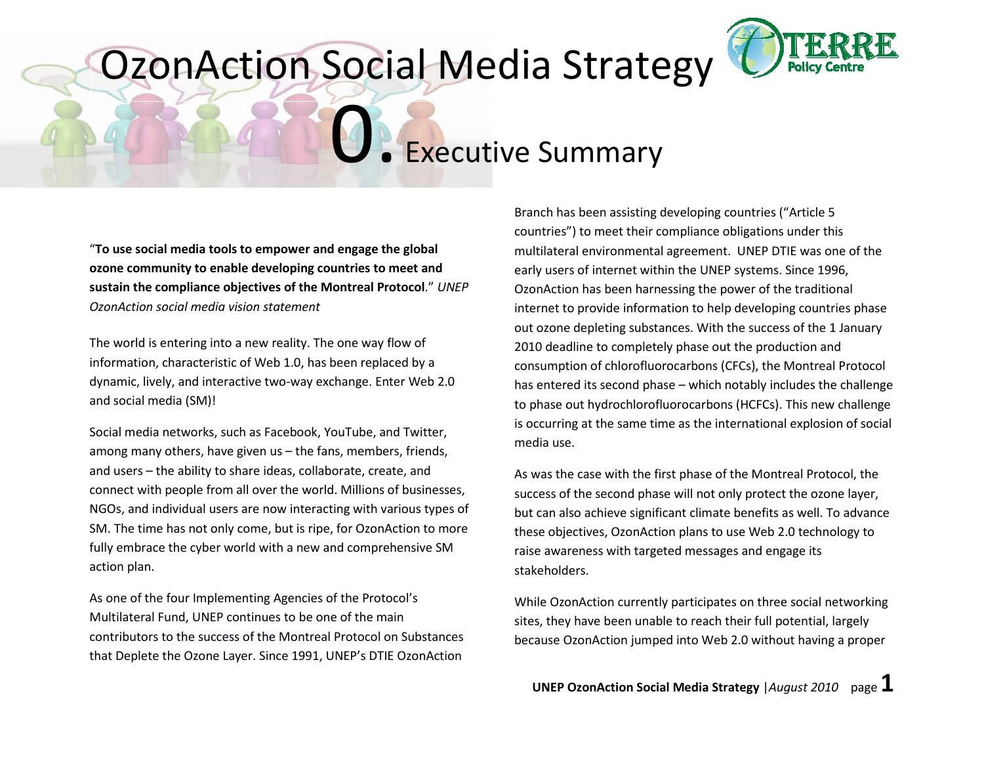### OzonAction Social Media Strategy



**CEXECUTIVE Summary** 

"To use social media tools to empower and engage the global ozone community to enable developing countries to meet and sustain the compliance objectives of the Montreal Protocol." UNEP OzonAction social media vision statement

The world is entering into a new reality. The one way flow of information, characteristic of Web 1.0, has been replaced by a dynamic, lively, and interactive two-way exchange. Enter Web 2.0 and social media (SM)!

Social media networks, such as Facebook, YouTube, and Twitter, among many others, have given us – the fans, members, friends, and users – the ability to share ideas, collaborate, create, and connect with people from all over the world. Millions of businesses, NGOs, and individual users are now interacting with various types of SM. The time has not only come, but is ripe, for OzonAction to more fully embrace the cyber world with a new and comprehensive SM action plan.

As one of the four Implementing Agencies of the Protocol's Multilateral Fund, UNEP continues to be one of the main contributors to the success of the Montreal Protocol on Substances that Deplete the Ozone Layer. Since 1991, UNEP's DTIE OzonAction

Branch has been assisting developing countries ("Article 5 countries") to meet their compliance obligations under this multilateral environmental agreement. UNEP DTIE was one of the early users of internet within the UNEP systems. Since 1996, OzonAction has been harnessing the power of the traditional internet to provide information to help developing countries phase out ozone depleting substances. With the success of the 1 January 2010 deadline to completely phase out the production and consumption of chlorofluorocarbons (CFCs), the Montreal Protocol has entered its second phase – which notably includes the challengeto phase out hydrochlorofluorocarbons (HCFCs). This new challenge is occurring at the same time as the international explosion of social media use.

As was the case with the first phase of the Montreal Protocol, the success of the second phase will not only protect the ozone layer, but can also achieve significant climate benefits as well. To advance these objectives, OzonAction plans to use Web 2.0 technology to raise awareness with targeted messages and engage its stakeholders.

While OzonAction currently participates on three social networking sites, they have been unable to reach their full potential, largely because OzonAction jumped into Web 2.0 without having a proper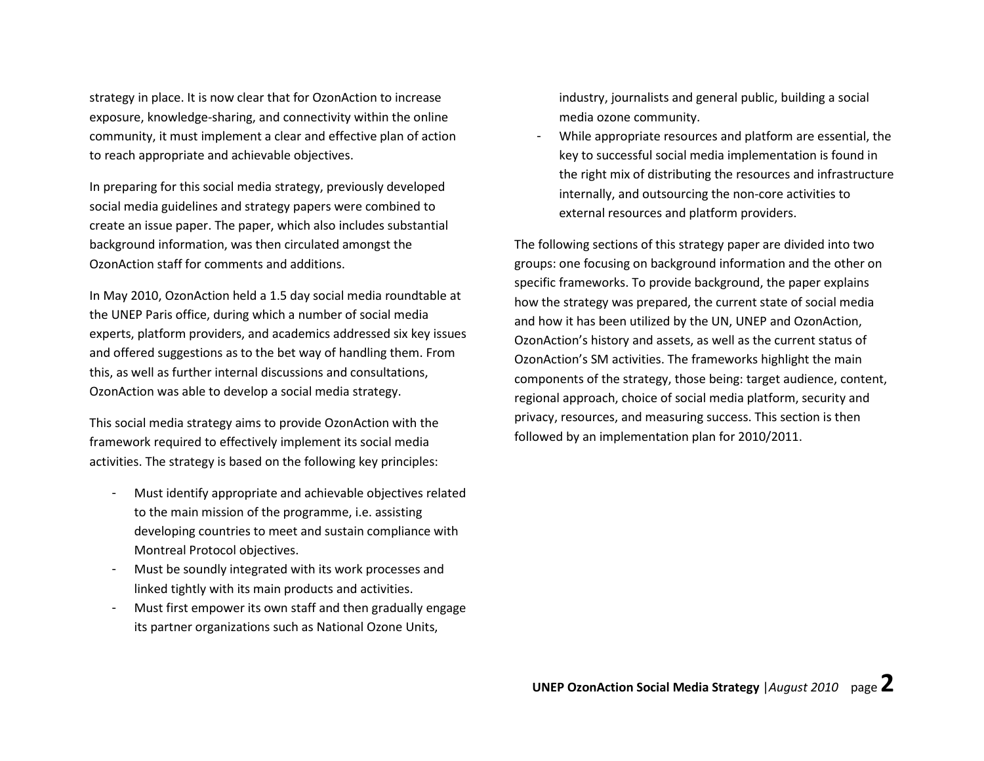strategy in place. It is now clear that for OzonAction to increase exposure, knowledge-sharing, and connectivity within the online community, it must implement a clear and effective plan of action to reach appropriate and achievable objectives.

In preparing for this social media strategy, previously developed social media guidelines and strategy papers were combined to create an issue paper. The paper, which also includes substantial background information, was then circulated amongst the OzonAction staff for comments and additions.

In May 2010, OzonAction held a 1.5 day social media roundtable at the UNEP Paris office, during which a number of social media experts, platform providers, and academics addressed six key issues and offered suggestions as to the bet way of handling them. From this, as well as further internal discussions and consultations, OzonAction was able to develop a social media strategy.

This social media strategy aims to provide OzonAction with the framework required to effectively implement its social media activities. The strategy is based on the following key principles:

- Must identify appropriate and achievable objectives related to the main mission of the programme, i.e. assistingdeveloping countries to meet and sustain compliance with Montreal Protocol objectives.
- Must be soundly integrated with its work processes and linked tightly with its main products and activities.
- Must first empower its own staff and then gradually engage its partner organizations such as National Ozone Units,

industry, journalists and general public, building a social media ozone community.

While appropriate resources and platform are essential, the key to successful social media implementation is found in the right mix of distributing the resources and infrastructure internally, and outsourcing the non-core activities to external resources and platform providers.

The following sections of this strategy paper are divided into two groups: one focusing on background information and the other on specific frameworks. To provide background, the paper explains how the strategy was prepared, the current state of social media and how it has been utilized by the UN, UNEP and OzonAction, OzonAction's history and assets, as well as the current status of OzonAction's SM activities. The frameworks highlight the main components of the strategy, those being: target audience, content, regional approach, choice of social media platform, security and privacy, resources, and measuring success. This section is then followed by an implementation plan for 2010/2011.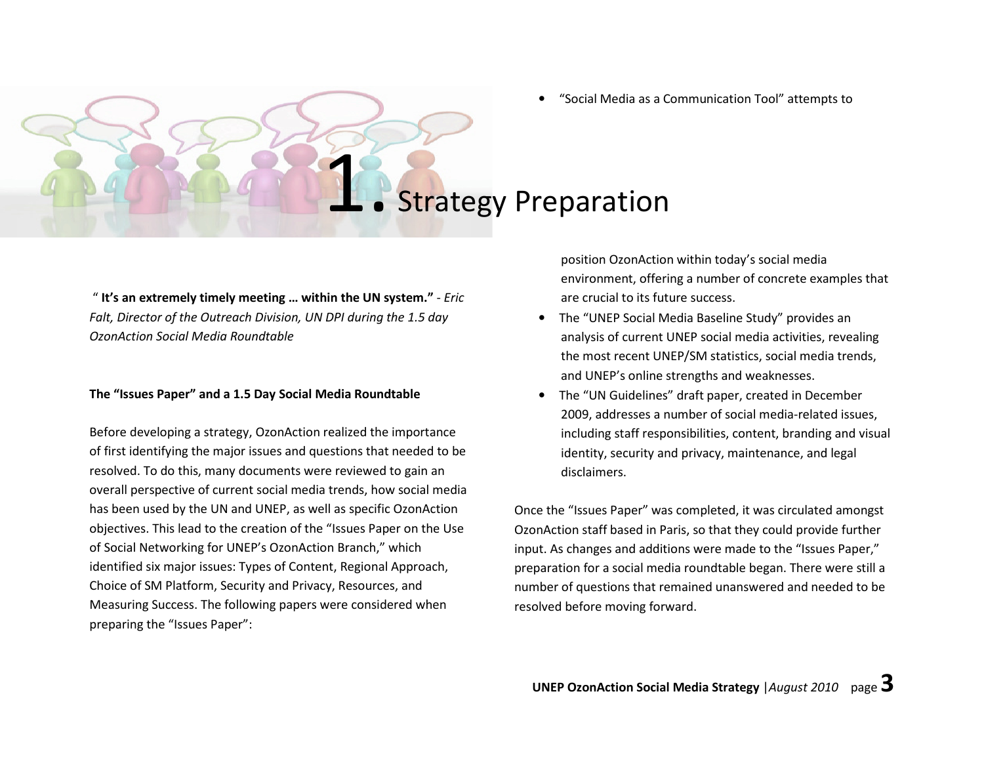•"Social Media as a Communication Tool" attempts to

### **Strategy Preparation**

" It's an extremely timely meeting ... within the UN system."  $-$  *Eric* Falt, Director of the Outreach Division, UN DPI during the 1.5 day OzonAction Social Media Roundtable

### The "Issues Paper" and a 1.5 Day Social Media Roundtable

Before developing a strategy, OzonAction realized the importance of first identifying the major issues and questions that needed to be resolved. To do this, many documents were reviewed to gain an overall perspective of current social media trends, how social media has been used by the UN and UNEP, as well as specific OzonAction objectives. This lead to the creation of the "Issues Paper on the Use of Social Networking for UNEP's OzonAction Branch," which identified six major issues: Types of Content, Regional Approach, Choice of SM Platform, Security and Privacy, Resources, and Measuring Success. The following papers were considered when preparing the "Issues Paper":

position OzonAction within today's social media environment, offering a number of concrete examples that are crucial to its future success.

- The "UNEP Social Media Baseline Study" provides an analysis of current UNEP social media activities, revealing the most recent UNEP/SM statistics, social media trends, and UNEP's online strengths and weaknesses.
- The "UN Guidelines" draft paper, created in December 2009, addresses a number of social media-related issues, including staff responsibilities, content, branding and visual identity, security and privacy, maintenance, and legaldisclaimers.

Once the "Issues Paper" was completed, it was circulated amongst OzonAction staff based in Paris, so that they could provide further input. As changes and additions were made to the "Issues Paper," preparation for a social media roundtable began. There were still a number of questions that remained unanswered and needed to be resolved before moving forward.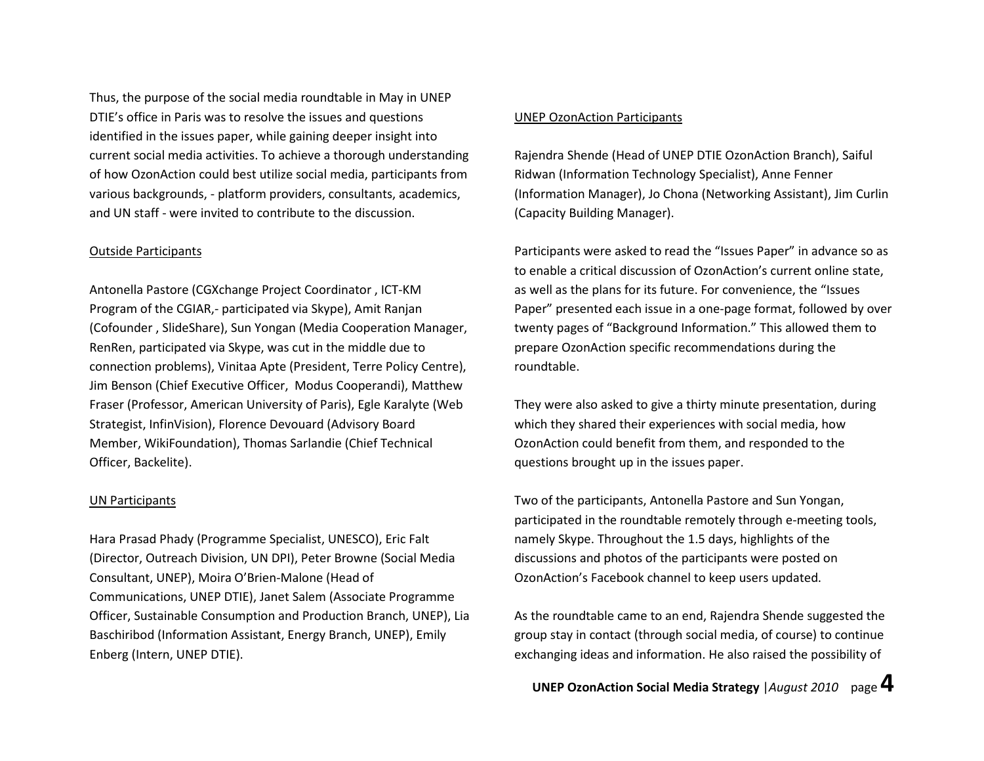Thus, the purpose of the social media roundtable in May in UNEP DTIE's office in Paris was to resolve the issues and questions identified in the issues paper, while gaining deeper insight into current social media activities. To achieve a thorough understanding of how OzonAction could best utilize social media, participants from various backgrounds, - platform providers, consultants, academics, and UN staff - were invited to contribute to the discussion.

### Outside Participants

Antonella Pastore (CGXchange Project Coordinator , ICT-KM Program of the CGIAR,- participated via Skype), Amit Ranjan (Cofounder , SlideShare), Sun Yongan (Media Cooperation Manager, RenRen, participated via Skype, was cut in the middle due to connection problems), Vinitaa Apte (President, Terre Policy Centre), Jim Benson (Chief Executive Officer, Modus Cooperandi), Matthew Fraser (Professor, American University of Paris), Egle Karalyte (Web Strategist, InfinVision), Florence Devouard (Advisory Board Member, WikiFoundation), Thomas Sarlandie (Chief Technical Officer, Backelite).

### UN Participants

Hara Prasad Phady (Programme Specialist, UNESCO), Eric Falt (Director, Outreach Division, UN DPI), Peter Browne (Social Media Consultant, UNEP), Moira O'Brien-Malone (Head of Communications, UNEP DTIE), Janet Salem (Associate Programme Officer, Sustainable Consumption and Production Branch, UNEP), Lia Baschiribod (Information Assistant, Energy Branch, UNEP), Emily Enberg (Intern, UNEP DTIE).

### UNEP OzonAction Participants

Rajendra Shende (Head of UNEP DTIE OzonAction Branch), Saiful Ridwan (Information Technology Specialist), Anne Fenner (Information Manager), Jo Chona (Networking Assistant), Jim Curlin (Capacity Building Manager).

Participants were asked to read the "Issues Paper" in advance so as to enable a critical discussion of OzonAction's current online state, as well as the plans for its future. For convenience, the "Issues Paper" presented each issue in a one-page format, followed by over twenty pages of "Background Information." This allowed them to prepare OzonAction specific recommendations during the roundtable.

They were also asked to give a thirty minute presentation, during which they shared their experiences with social media, how OzonAction could benefit from them, and responded to the questions brought up in the issues paper.

Two of the participants, Antonella Pastore and Sun Yongan, participated in the roundtable remotely through e-meeting tools, namely Skype. Throughout the 1.5 days, highlights of the discussions and photos of the participants were posted on OzonAction's Facebook channel to keep users updated.

As the roundtable came to an end, Rajendra Shende suggested the group stay in contact (through social media, of course) to continue exchanging ideas and information. He also raised the possibility of

UNEP OzonAction Social Media Strategy | August 2010 page  $4$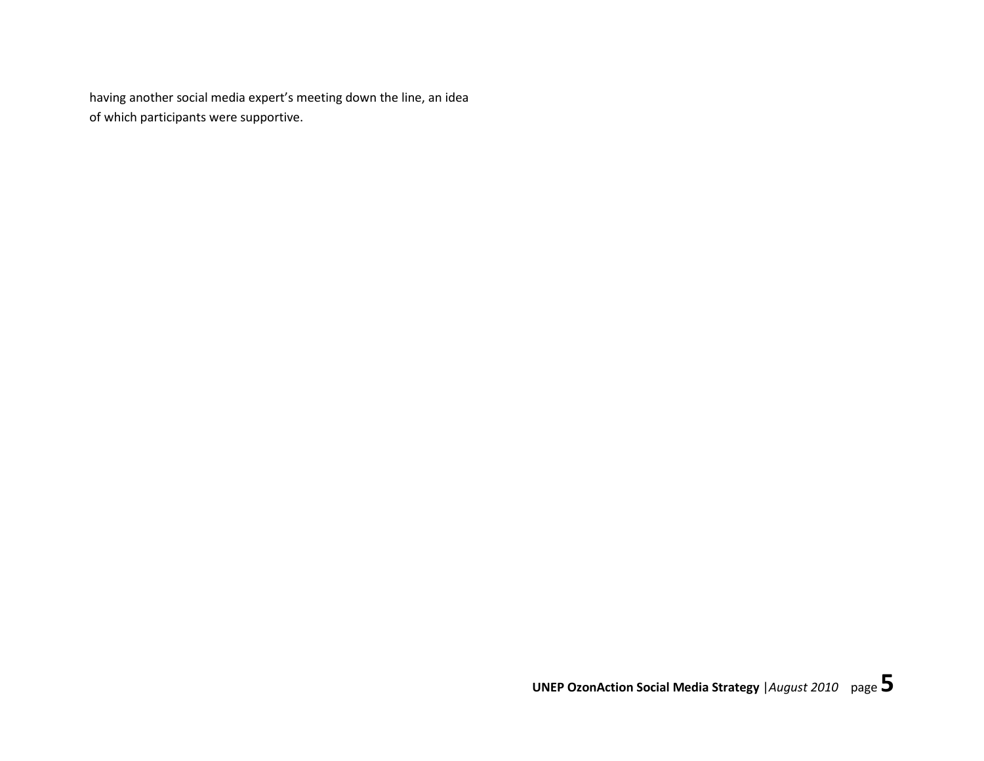having another social media expert's meeting down the line, an idea of which participants were supportive.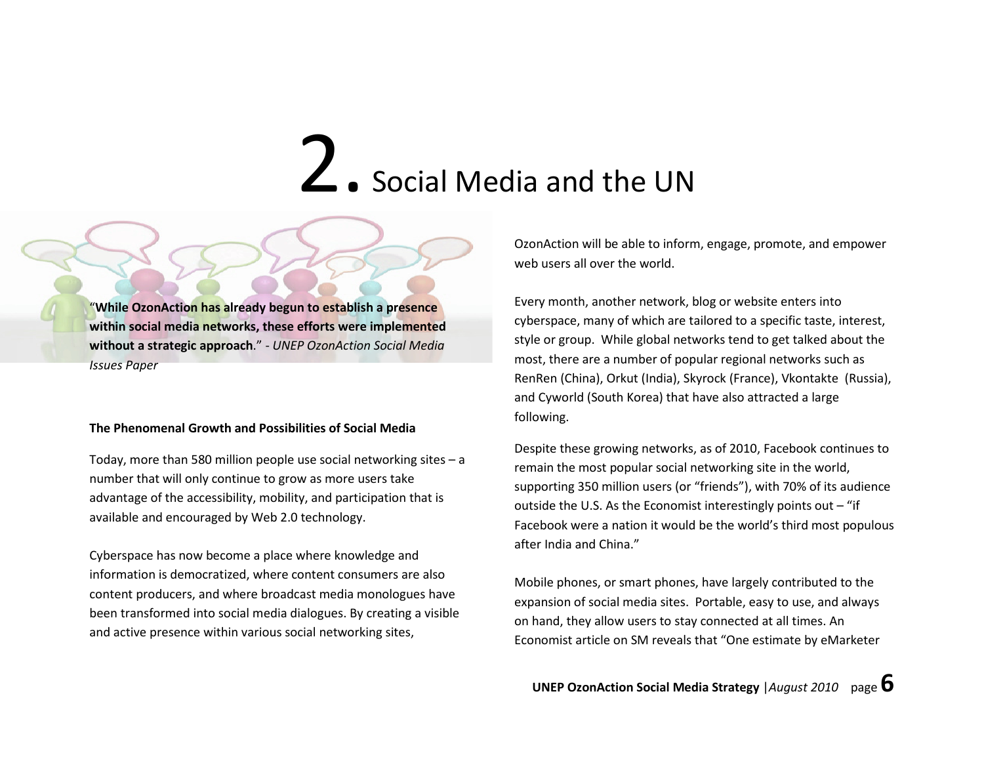### 2. Social Media and the UN

"While OzonAction has already begun to establish a presence within social media networks, these efforts were implemented without a strategic approach." - UNEP OzonAction Social Media Issues Paper

### The Phenomenal Growth and Possibilities of Social Media

Today, more than 580 million people use social networking sites – a number that will only continue to grow as more users take advantage of the accessibility, mobility, and participation that is available and encouraged by Web 2.0 technology.

Cyberspace has now become a place where knowledge and information is democratized, where content consumers are also content producers, and where broadcast media monologues have been transformed into social media dialogues. By creating a visible and active presence within various social networking sites,

OzonAction will be able to inform, engage, promote, and empower web users all over the world.

Every month, another network, blog or website enters into cyberspace, many of which are tailored to a specific taste, interest, style or group. While global networks tend to get talked about the most, there are a number of popular regional networks such as RenRen (China), Orkut (India), Skyrock (France), Vkontakte (Russia), and Cyworld (South Korea) that have also attracted a large following.

Despite these growing networks, as of 2010, Facebook continues to remain the most popular social networking site in the world, supporting 350 million users (or "friends"), with 70% of its audience outside the U.S. As the Economist interestingly points out  $-$  "if Facebook were a nation it would be the world's third most populous after India and China."

Mobile phones, or smart phones, have largely contributed to the expansion of social media sites. Portable, easy to use, and always on hand, they allow users to stay connected at all times. An Economist article on SM reveals that "One estimate by eMarketer

**UNEP OzonAction Social Media Strategy** | August 2010 page  $\mathbf{\mathring{O}}$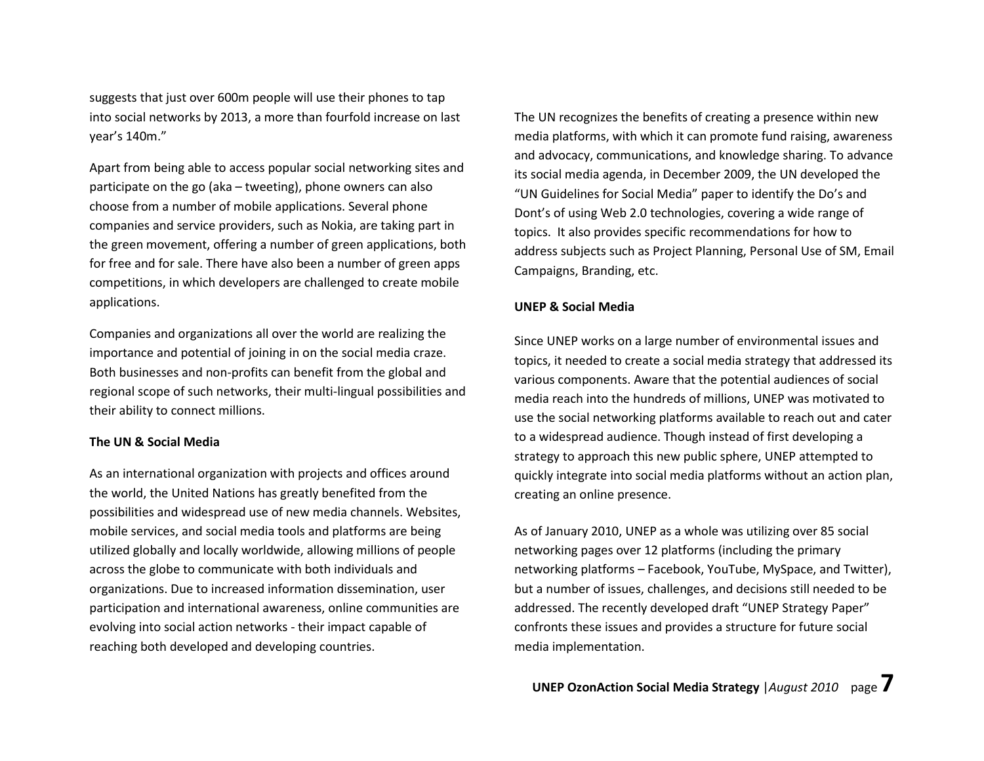suggests that just over 600m people will use their phones to tap into social networks by 2013, a more than fourfold increase on last year's 140m."

Apart from being able to access popular social networking sites and participate on the go (aka – tweeting), phone owners can also choose from a number of mobile applications. Several phone companies and service providers, such as Nokia, are taking part in the green movement, offering a number of green applications, both for free and for sale. There have also been a number of green apps competitions, in which developers are challenged to create mobile applications.

Companies and organizations all over the world are realizing the importance and potential of joining in on the social media craze. Both businesses and non-profits can benefit from the global and regional scope of such networks, their multi-lingual possibilities and their ability to connect millions.

### The UN & Social Media

As an international organization with projects and offices around the world, the United Nations has greatly benefited from the possibilities and widespread use of new media channels. Websites, mobile services, and social media tools and platforms are being utilized globally and locally worldwide, allowing millions of people across the globe to communicate with both individuals and organizations. Due to increased information dissemination, user participation and international awareness, online communities are evolving into social action networks - their impact capable of reaching both developed and developing countries.

The UN recognizes the benefits of creating a presence within new media platforms, with which it can promote fund raising, awareness and advocacy, communications, and knowledge sharing. To advance its social media agenda, in December 2009, the UN developed the "UN Guidelines for Social Media" paper to identify the Do's and Dont's of using Web 2.0 technologies, covering a wide range of topics. It also provides specific recommendations for how to address subjects such as Project Planning, Personal Use of SM, Email Campaigns, Branding, etc.

### UNEP & Social Media

Since UNEP works on a large number of environmental issues and topics, it needed to create a social media strategy that addressed its various components. Aware that the potential audiences of social media reach into the hundreds of millions, UNEP was motivated to use the social networking platforms available to reach out and cater to a widespread audience. Though instead of first developing a strategy to approach this new public sphere, UNEP attempted to quickly integrate into social media platforms without an action plan, creating an online presence.

As of January 2010, UNEP as a whole was utilizing over 85 social networking pages over 12 platforms (including the primary networking platforms – Facebook, YouTube, MySpace, and Twitter), but a number of issues, challenges, and decisions still needed to be addressed. The recently developed draft "UNEP Strategy Paper" confronts these issues and provides a structure for future social media implementation.

UNEP OzonAction Social Media Strategy | August 2010 page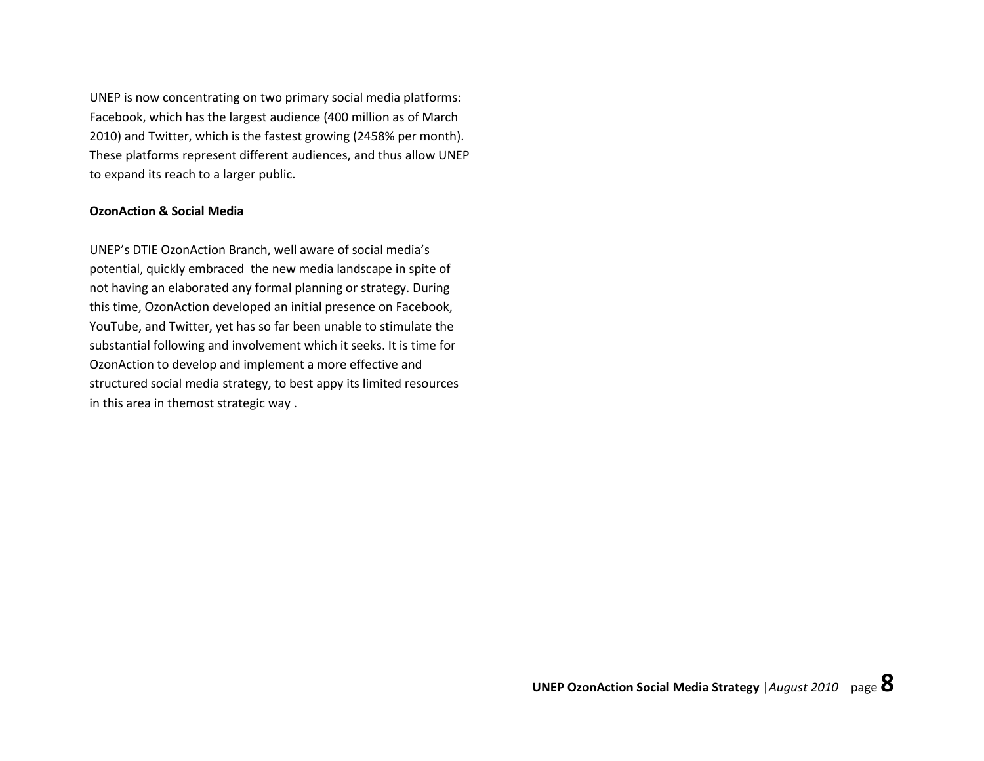UNEP is now concentrating on two primary social media platforms: Facebook, which has the largest audience (400 million as of March 2010) and Twitter, which is the fastest growing (2458% per month). These platforms represent different audiences, and thus allow UNEP to expand its reach to a larger public.

### OzonAction & Social Media

UNEP's DTIE OzonAction Branch, well aware of social media's potential, quickly embraced the new media landscape in spite of not having an elaborated any formal planning or strategy. During this time, OzonAction developed an initial presence on Facebook, YouTube, and Twitter, yet has so far been unable to stimulate the substantial following and involvement which it seeks. It is time for OzonAction to develop and implement a more effective and structured social media strategy, to best appy its limited resources in this area in themost strategic way .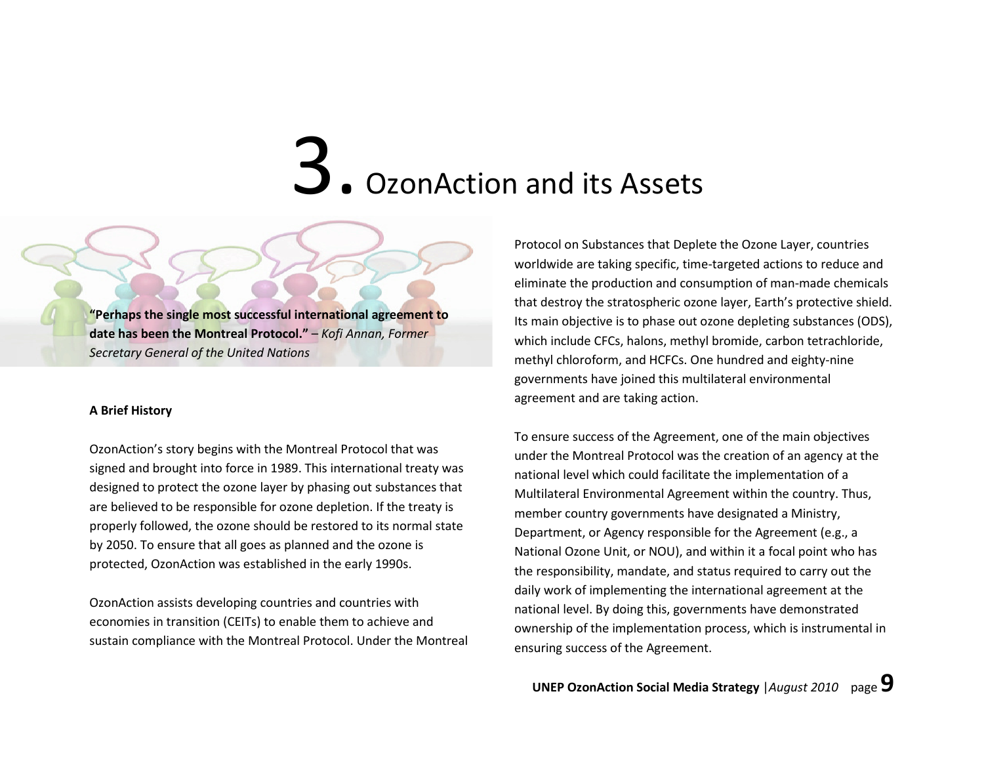### 3. OzonAction and its Assets

"Perhaps the single most successful international agreement to date has been the Montreal Protocol." – Kofi Annan, Former Secretary General of the United Nations

### A Brief History

OzonAction's story begins with the Montreal Protocol that was signed and brought into force in 1989. This international treaty was designed to protect the ozone layer by phasing out substances that are believed to be responsible for ozone depletion. If the treaty is properly followed, the ozone should be restored to its normal state by 2050. To ensure that all goes as planned and the ozone is protected, OzonAction was established in the early 1990s.

OzonAction assists developing countries and countries with economies in transition (CEITs) to enable them to achieve and sustain compliance with the Montreal Protocol. Under the Montreal Protocol on Substances that Deplete the Ozone Layer, countries worldwide are taking specific, time-targeted actions to reduce and eliminate the production and consumption of man-made chemicals that destroy the stratospheric ozone layer, Earth's protective shield. Its main objective is to phase out ozone depleting substances (ODS), which include CFCs, halons, methyl bromide, carbon tetrachloride, methyl chloroform, and HCFCs. One hundred and eighty-nine governments have joined this multilateral environmental agreement and are taking action.

To ensure success of the Agreement, one of the main objectives under the Montreal Protocol was the creation of an agency at the national level which could facilitate the implementation of a Multilateral Environmental Agreement within the country. Thus, member country governments have designated a Ministry, Department, or Agency responsible for the Agreement (e.g., a National Ozone Unit, or NOU), and within it a focal point who has the responsibility, mandate, and status required to carry out the daily work of implementing the international agreement at the national level. By doing this, governments have demonstrated ownership of the implementation process, which is instrumental in ensuring success of the Agreement.

UNEP OzonAction Social Media Strategy  $|August~2010$  page  $9$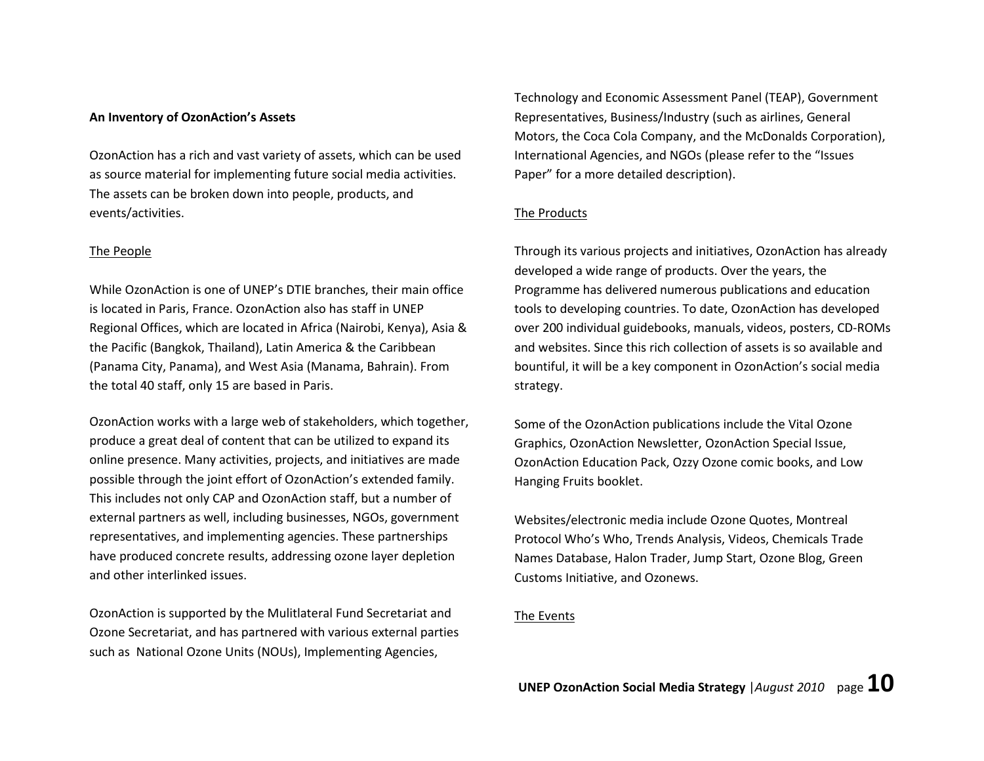### An Inventory of OzonAction's Assets

OzonAction has a rich and vast variety of assets, which can be used as source material for implementing future social media activities. The assets can be broken down into people, products, and events/activities.

### The People

While OzonAction is one of UNEP's DTIE branches, their main office is located in Paris, France. OzonAction also has staff in UNEP Regional Offices, which are located in Africa (Nairobi, Kenya), Asia & the Pacific (Bangkok, Thailand), Latin America & the Caribbean (Panama City, Panama), and West Asia (Manama, Bahrain). From the total 40 staff, only 15 are based in Paris.

OzonAction works with a large web of stakeholders, which together, produce a great deal of content that can be utilized to expand its online presence. Many activities, projects, and initiatives are made possible through the joint effort of OzonAction's extended family. This includes not only CAP and OzonAction staff, but a number of external partners as well, including businesses, NGOs, government representatives, and implementing agencies. These partnerships have produced concrete results, addressing ozone layer depletion and other interlinked issues.

OzonAction is supported by the Mulitlateral Fund Secretariat and Ozone Secretariat, and has partnered with various external parties such as National Ozone Units (NOUs), Implementing Agencies,

Technology and Economic Assessment Panel (TEAP), Government Representatives, Business/Industry (such as airlines, General Motors, the Coca Cola Company, and the McDonalds Corporation), International Agencies, and NGOs (please refer to the "Issues Paper" for a more detailed description).

### The Products

Through its various projects and initiatives, OzonAction has already developed a wide range of products. Over the years, the Programme has delivered numerous publications and education tools to developing countries. To date, OzonAction has developed over 200 individual guidebooks, manuals, videos, posters, CD-ROMs and websites. Since this rich collection of assets is so available and bountiful, it will be a key component in OzonAction's social media strategy.

Some of the OzonAction publications include the Vital Ozone Graphics, OzonAction Newsletter, OzonAction Special Issue, OzonAction Education Pack, Ozzy Ozone comic books, and Low Hanging Fruits booklet.

Websites/electronic media include Ozone Quotes, Montreal Protocol Who's Who, Trends Analysis, Videos, Chemicals Trade Names Database, Halon Trader, Jump Start, Ozone Blog, Green Customs Initiative, and Ozonews.

### The Events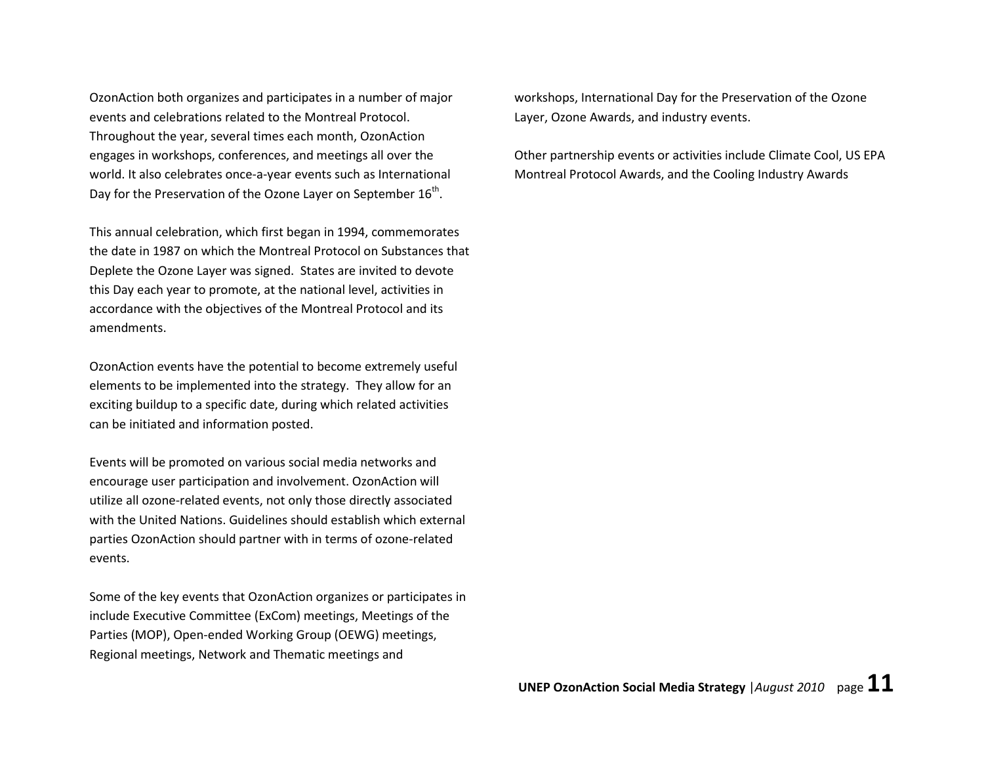OzonAction both organizes and participates in a number of major events and celebrations related to the Montreal Protocol. Throughout the year, several times each month, OzonAction engages in workshops, conferences, and meetings all over the world. It also celebrates once-a-year events such as International Day for the Preservation of the Ozone Layer on September 16<sup>th</sup>.

This annual celebration, which first began in 1994, commemorates the date in 1987 on which the Montreal Protocol on Substances that Deplete the Ozone Layer was signed. States are invited to devote this Day each year to promote, at the national level, activities in accordance with the objectives of the Montreal Protocol and its amendments.

OzonAction events have the potential to become extremely useful elements to be implemented into the strategy. They allow for an exciting buildup to a specific date, during which related activities can be initiated and information posted.

Events will be promoted on various social media networks and encourage user participation and involvement. OzonAction will utilize all ozone-related events, not only those directly associated with the United Nations. Guidelines should establish which external parties OzonAction should partner with in terms of ozone-related events.

Some of the key events that OzonAction organizes or participates in include Executive Committee (ExCom) meetings, Meetings of the Parties (MOP), Open-ended Working Group (OEWG) meetings, Regional meetings, Network and Thematic meetings and

workshops, International Day for the Preservation of the Ozone Layer, Ozone Awards, and industry events.

Other partnership events or activities include Climate Cool, US EPA Montreal Protocol Awards, and the Cooling Industry Awards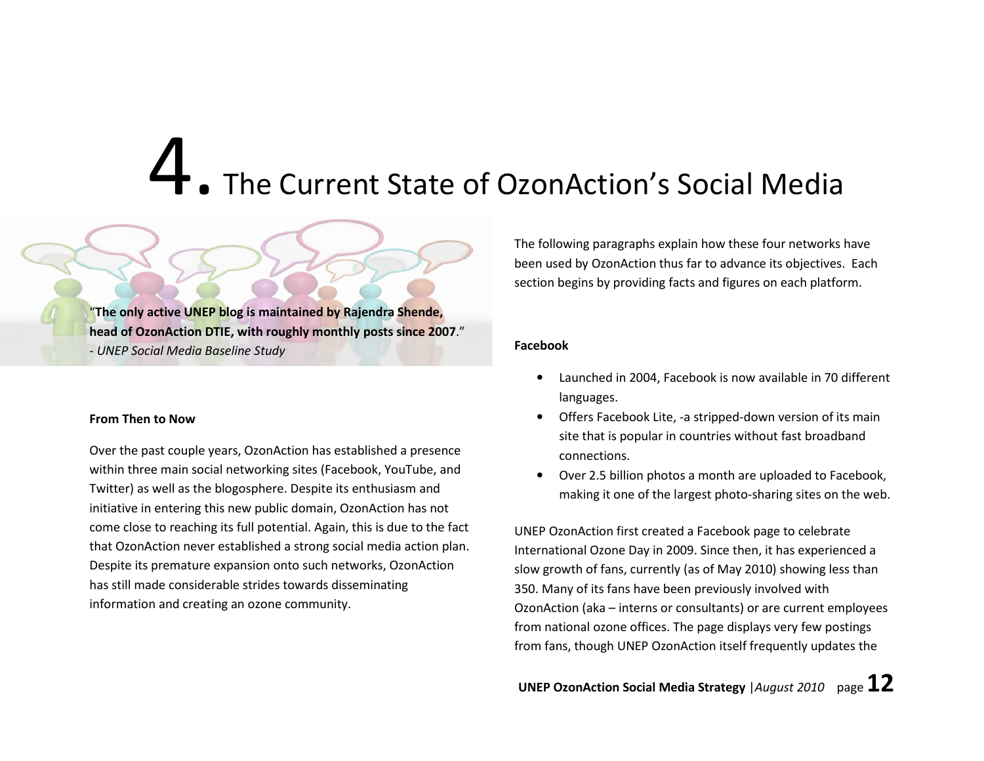### 4. The Current State of OzonAction's Social Media

"The only active UNEP blog is maintained by Rajendra Shende, head of OzonAction DTIE, with roughly monthly posts since 2007." - UNEP Social Media Baseline Study

### From Then to Now

Over the past couple years, OzonAction has established a presence within three main social networking sites (Facebook, YouTube, and Twitter) as well as the blogosphere. Despite its enthusiasm and initiative in entering this new public domain, OzonAction has not come close to reaching its full potential. Again, this is due to the fact that OzonAction never established a strong social media action plan. Despite its premature expansion onto such networks, OzonAction has still made considerable strides towards disseminating information and creating an ozone community.

The following paragraphs explain how these four networks have been used by OzonAction thus far to advance its objectives. Each section begins by providing facts and figures on each platform.

### Facebook

- • Launched in 2004, Facebook is now available in 70 different languages.
- • Offers Facebook Lite, -a stripped-down version of its main site that is popular in countries without fast broadband connections.
- • Over 2.5 billion photos a month are uploaded to Facebook, making it one of the largest photo-sharing sites on the web.

UNEP OzonAction first created a Facebook page to celebrate International Ozone Day in 2009. Since then, it has experienced a slow growth of fans, currently (as of May 2010) showing less than 350. Many of its fans have been previously involved with OzonAction (aka – interns or consultants) or are current employees from national ozone offices. The page displays very few postings from fans, though UNEP OzonAction itself frequently updates the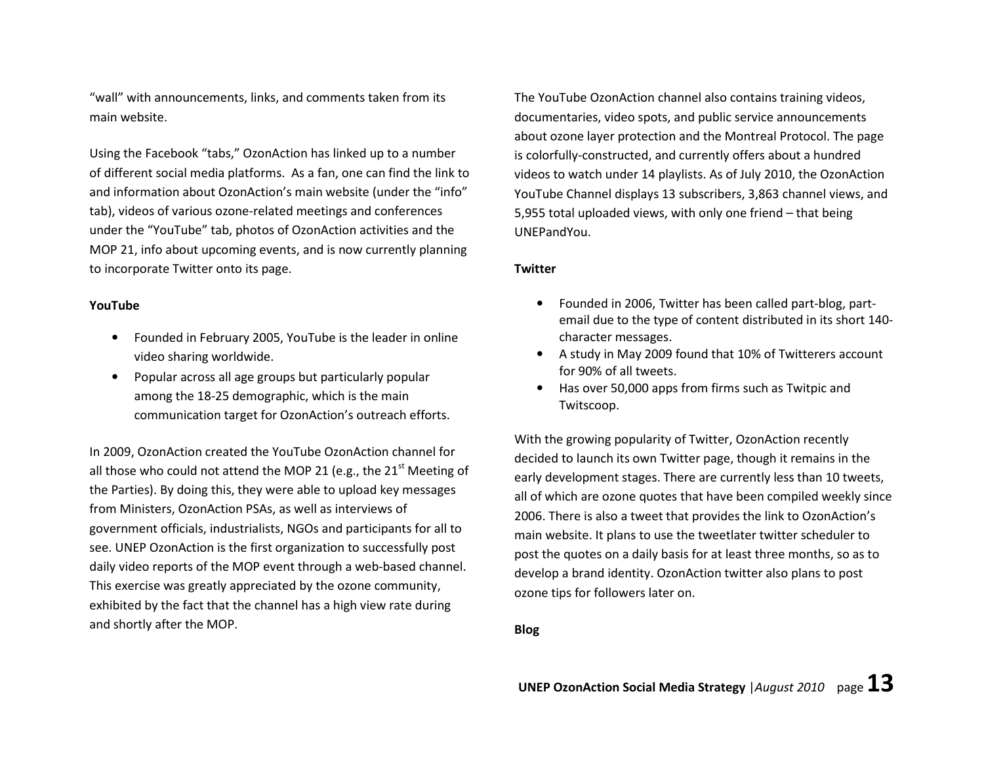"wall" with announcements, links, and comments taken from its main website.

Using the Facebook "tabs," OzonAction has linked up to a number of different social media platforms. As a fan, one can find the link to and information about OzonAction's main website (under the "info" tab), videos of various ozone-related meetings and conferences under the "YouTube" tab, photos of OzonAction activities and the MOP 21, info about upcoming events, and is now currently planning to incorporate Twitter onto its page.

### YouTube

- $\bullet$  Founded in February 2005, YouTube is the leader in online video sharing worldwide.
- • Popular across all age groups but particularly popular among the 18-25 demographic, which is the main communication target for OzonAction's outreach efforts.

In 2009, OzonAction created the YouTube OzonAction channel for all those who could not attend the MOP 21 (e.g., the 21<sup>st</sup> Meeting of the Parties). By doing this, they were able to upload key messages from Ministers, OzonAction PSAs, as well as interviews of government officials, industrialists, NGOs and participants for all to see. UNEP OzonAction is the first organization to successfully post daily video reports of the MOP event through a web-based channel. This exercise was greatly appreciated by the ozone community, exhibited by the fact that the channel has a high view rate during and shortly after the MOP.

The YouTube OzonAction channel also contains training videos, documentaries, video spots, and public service announcements about ozone layer protection and the Montreal Protocol. The page is colorfully-constructed, and currently offers about a hundred videos to watch under 14 playlists. As of July 2010, the OzonAction YouTube Channel displays 13 subscribers, 3,863 channel views, and 5,955 total uploaded views, with only one friend – that being UNEPandYou.

### **Twitter**

- • Founded in 2006, Twitter has been called part-blog, partemail due to the type of content distributed in its short 140character messages.
- A study in May 2009 found that 10% of Twitterers account for 90% of all tweets.
- Has over 50,000 apps from firms such as Twitpic and Twitscoop.

With the growing popularity of Twitter, OzonAction recently decided to launch its own Twitter page, though it remains in the early development stages. There are currently less than 10 tweets, all of which are ozone quotes that have been compiled weekly since 2006. There is also a tweet that provides the link to OzonAction's main website. It plans to use the tweetlater twitter scheduler to post the quotes on a daily basis for at least three months, so as to develop a brand identity. OzonAction twitter also plans to post ozone tips for followers later on.

### Blog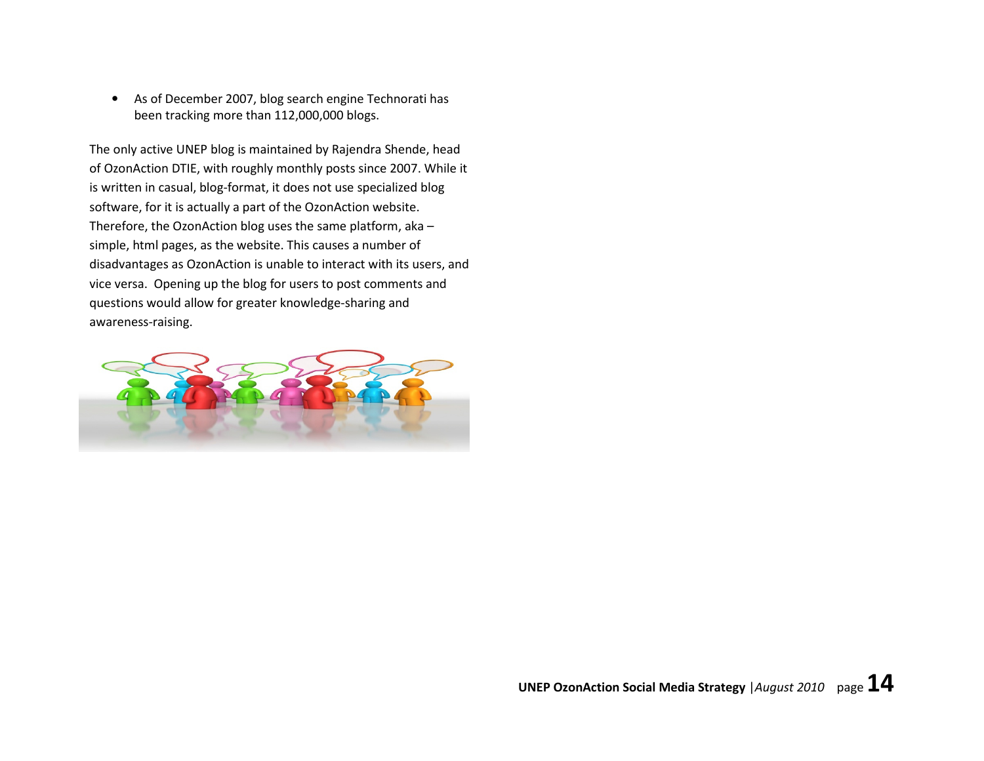• As of December 2007, blog search engine Technorati has been tracking more than 112,000,000 blogs.

The only active UNEP blog is maintained by Rajendra Shende, head of OzonAction DTIE, with roughly monthly posts since 2007. While it is written in casual, blog-format, it does not use specialized blog software, for it is actually a part of the OzonAction website. Therefore, the OzonAction blog uses the same platform, aka – simple, html pages, as the website. This causes a number of disadvantages as OzonAction is unable to interact with its users, and vice versa. Opening up the blog for users to post comments and questions would allow for greater knowledge-sharing and awareness-raising.

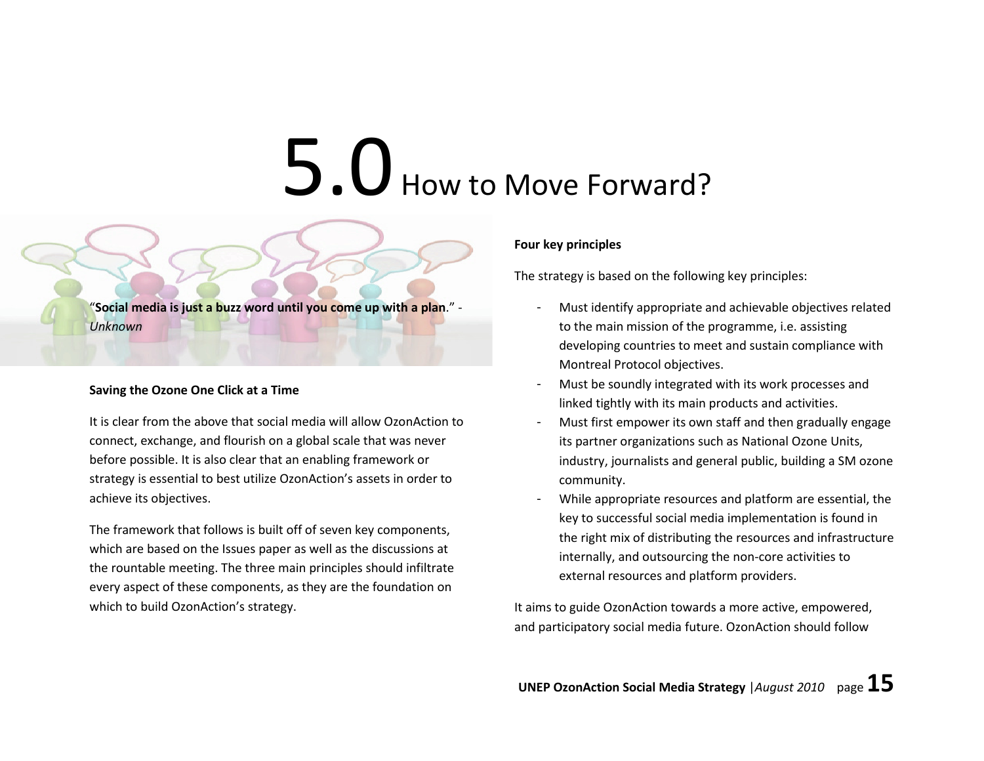### 5.0 How to Move Forward?

"Social media is just a buzz word until you come up with a plan." - Unknown

### Saving the Ozone One Click at a Time

It is clear from the above that social media will allow OzonAction to connect, exchange, and flourish on a global scale that was never before possible. It is also clear that an enabling framework or strategy is essential to best utilize OzonAction's assets in order to achieve its objectives.

The framework that follows is built off of seven key components, which are based on the Issues paper as well as the discussions at the rountable meeting. The three main principles should infiltrate every aspect of these components, as they are the foundation on which to build OzonAction's strategy.

### Four key principles

The strategy is based on the following key principles:

- Must identify appropriate and achievable objectives related to the main mission of the programme, i.e. assistingdeveloping countries to meet and sustain compliance with Montreal Protocol objectives.
- Must be soundly integrated with its work processes and linked tightly with its main products and activities.
- Must first empower its own staff and then gradually engage its partner organizations such as National Ozone Units, industry, journalists and general public, building a SM ozone community.
- While appropriate resources and platform are essential, the key to successful social media implementation is found in the right mix of distributing the resources and infrastructure internally, and outsourcing the non-core activities to external resources and platform providers.

It aims to guide OzonAction towards a more active, empowered, and participatory social media future. OzonAction should follow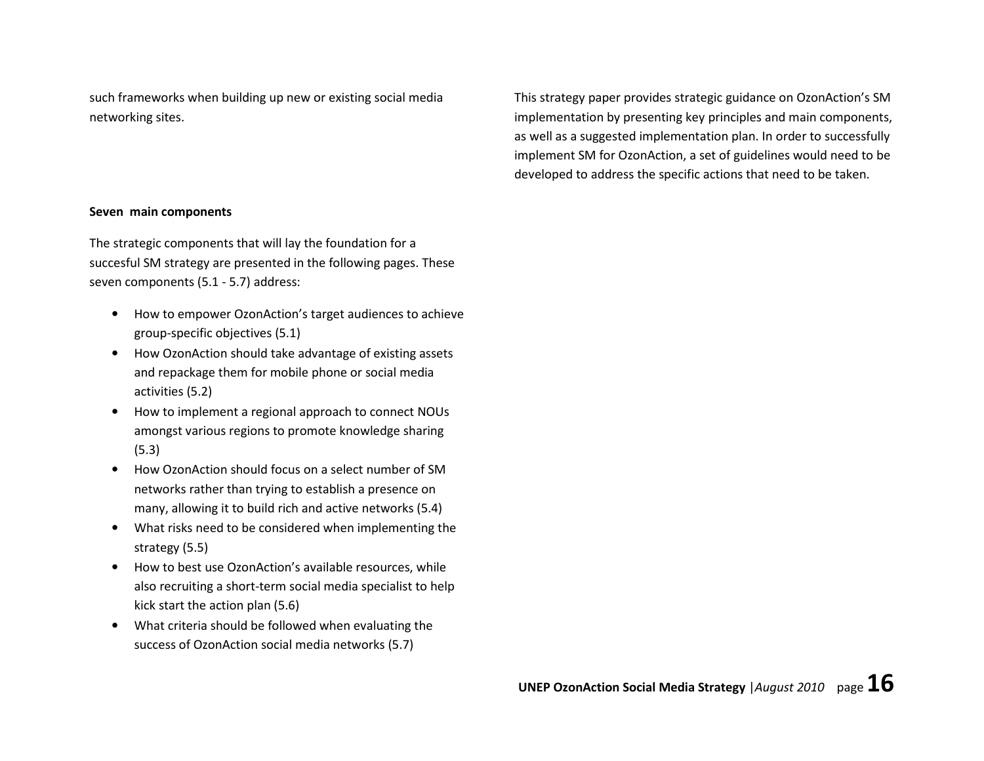such frameworks when building up new or existing social media networking sites.

This strategy paper provides strategic guidance on OzonAction's SM implementation by presenting key principles and main components, as well as a suggested implementation plan. In order to successfully implement SM for OzonAction, a set of guidelines would need to be developed to address the specific actions that need to be taken.

### Seven main components

The strategic components that will lay the foundation for a succesful SM strategy are presented in the following pages. These seven components (5.1 - 5.7) address:

- How to empower OzonAction's target audiences to achieve group-specific objectives (5.1)
- $\bullet$  How OzonAction should take advantage of existing assets and repackage them for mobile phone or social mediaactivities (5.2)
- How to implement a regional approach to connect NOUs amongst various regions to promote knowledge sharing (5.3)
- • How OzonAction should focus on a select number of SM networks rather than trying to establish a presence on many, allowing it to build rich and active networks (5.4)
- $\bullet$  What risks need to be considered when implementing the strategy (5.5)
- • How to best use OzonAction's available resources, while also recruiting a short-term social media specialist to help kick start the action plan (5.6)
- $\bullet$  What criteria should be followed when evaluating thesuccess of OzonAction social media networks (5.7)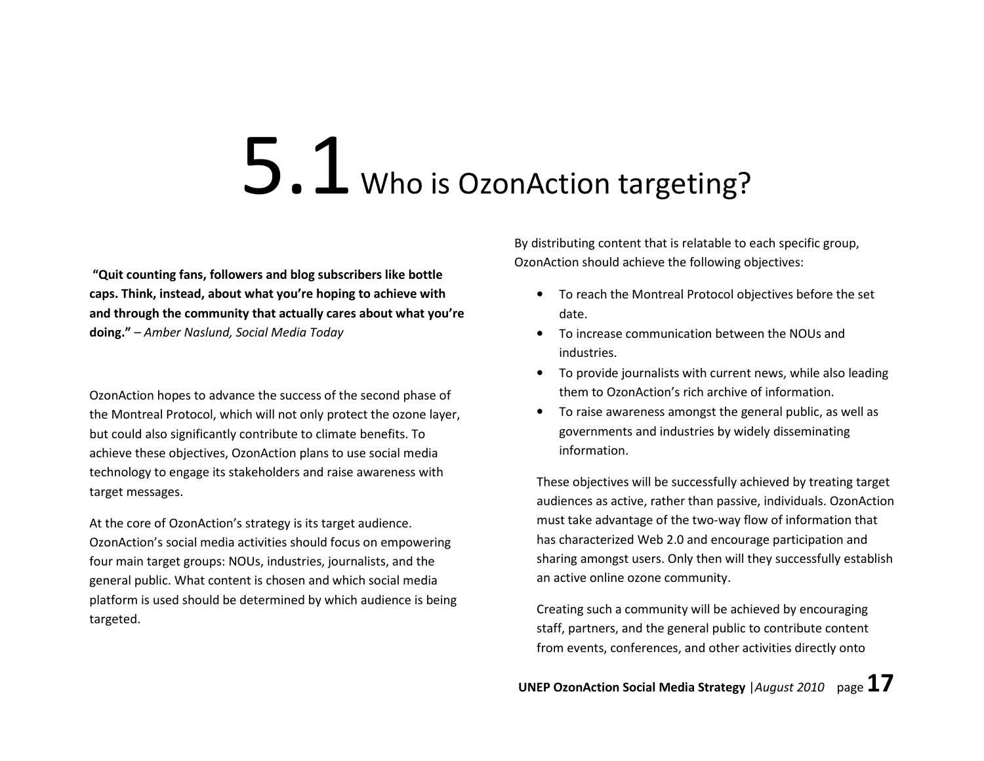### 5.1 Who is OzonAction targeting?

 "Quit counting fans, followers and blog subscribers like bottle caps. Think, instead, about what you're hoping to achieve with and through the community that actually cares about what you're doing." – Amber Naslund, Social Media Today

OzonAction hopes to advance the success of the second phase of the Montreal Protocol, which will not only protect the ozone layer, but could also significantly contribute to climate benefits. To achieve these objectives, OzonAction plans to use social media technology to engage its stakeholders and raise awareness with target messages.

At the core of OzonAction's strategy is its target audience. OzonAction's social media activities should focus on empowering four main target groups: NOUs, industries, journalists, and the general public. What content is chosen and which social media platform is used should be determined by which audience is being targeted.

By distributing content that is relatable to each specific group, OzonAction should achieve the following objectives:

- To reach the Montreal Protocol objectives before the set date.
- To increase communication between the NOUs and industries.
- To provide journalists with current news, while also leading them to OzonAction's rich archive of information.
- To raise awareness amongst the general public, as well as governments and industries by widely disseminating information.

These objectives will be successfully achieved by treating target audiences as active, rather than passive, individuals. OzonAction must take advantage of the two-way flow of information that has characterized Web 2.0 and encourage participation and sharing amongst users. Only then will they successfully establish an active online ozone community.

Creating such a community will be achieved by encouraging staff, partners, and the general public to contribute content from events, conferences, and other activities directly onto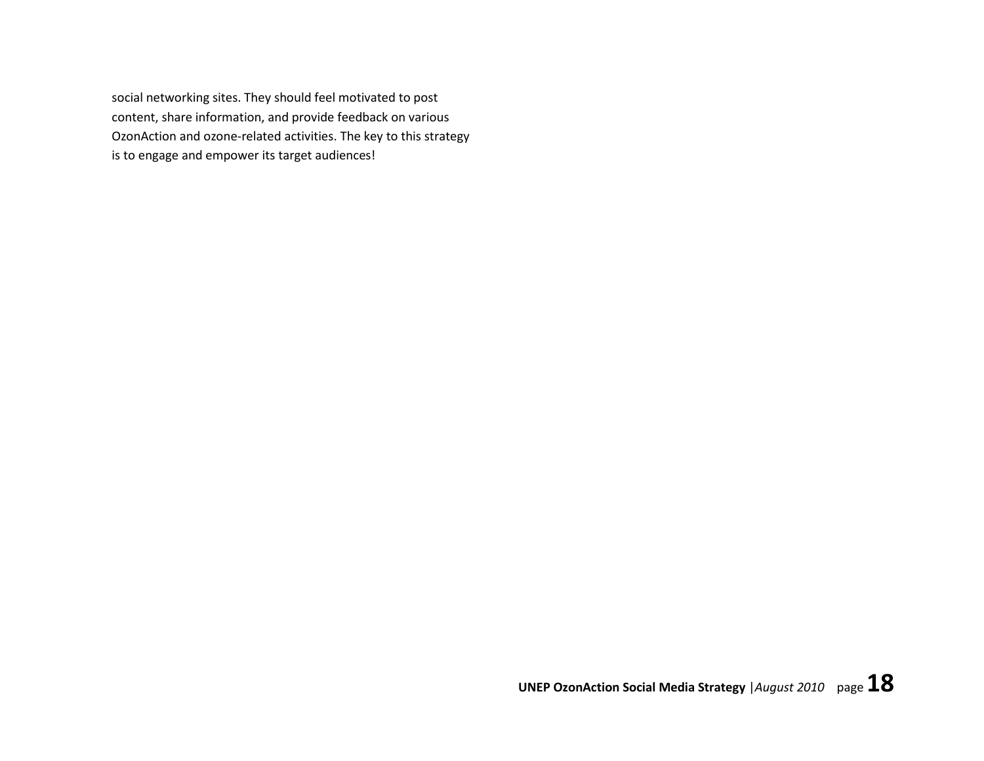social networking sites. They should feel motivated to post content, share information, and provide feedback on various OzonAction and ozone-related activities. The key to this strategy is to engage and empower its target audiences!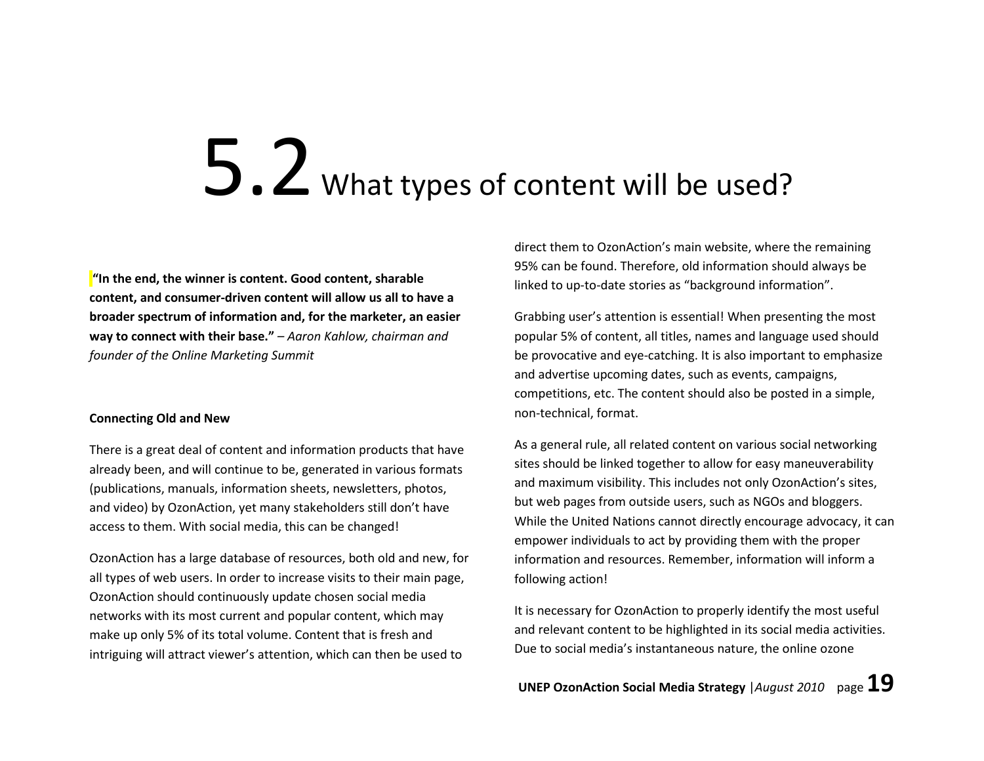### 5.2 What types of content will be used?

 $\mathbf{I}'$  in the end, the winner is content. Good content, sharable content, and consumer-driven content will allow us all to have a broader spectrum of information and, for the marketer, an easier way to connect with their base." - Aaron Kahlow, chairman and founder of the Online Marketing Summit

### Connecting Old and New

There is a great deal of content and information products that have already been, and will continue to be, generated in various formats (publications, manuals, information sheets, newsletters, photos, and video) by OzonAction, yet many stakeholders still don't have access to them. With social media, this can be changed!

OzonAction has a large database of resources, both old and new, for all types of web users. In order to increase visits to their main page, OzonAction should continuously update chosen social media networks with its most current and popular content, which may make up only 5% of its total volume. Content that is fresh and intriguing will attract viewer's attention, which can then be used to

direct them to OzonAction's main website, where the remaining 95% can be found. Therefore, old information should always be linked to up-to-date stories as "background information".

Grabbing user's attention is essential! When presenting the most popular 5% of content, all titles, names and language used should be provocative and eye-catching. It is also important to emphasize and advertise upcoming dates, such as events, campaigns, competitions, etc. The content should also be posted in a simple, non-technical, format.

As a general rule, all related content on various social networking sites should be linked together to allow for easy maneuverability and maximum visibility. This includes not only OzonAction's sites, but web pages from outside users, such as NGOs and bloggers. While the United Nations cannot directly encourage advocacy, it can empower individuals to act by providing them with the proper information and resources. Remember, information will inform a following action!

It is necessary for OzonAction to properly identify the most useful and relevant content to be highlighted in its social media activities. Due to social media's instantaneous nature, the online ozone

UNEP OzonAction Social Media Strategy | August 2010 page  $19$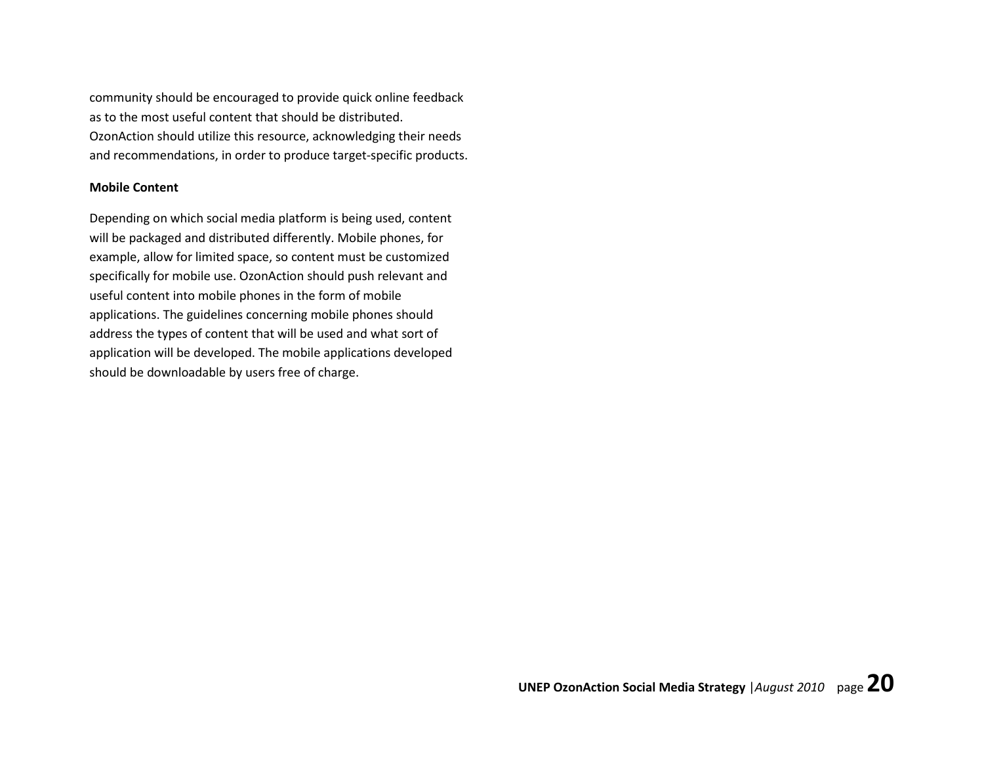community should be encouraged to provide quick online feedback as to the most useful content that should be distributed. OzonAction should utilize this resource, acknowledging their needs and recommendations, in order to produce target-specific products.

### Mobile Content

Depending on which social media platform is being used, content will be packaged and distributed differently. Mobile phones, for example, allow for limited space, so content must be customized specifically for mobile use. OzonAction should push relevant and useful content into mobile phones in the form of mobile applications. The guidelines concerning mobile phones should address the types of content that will be used and what sort of application will be developed. The mobile applications developed should be downloadable by users free of charge.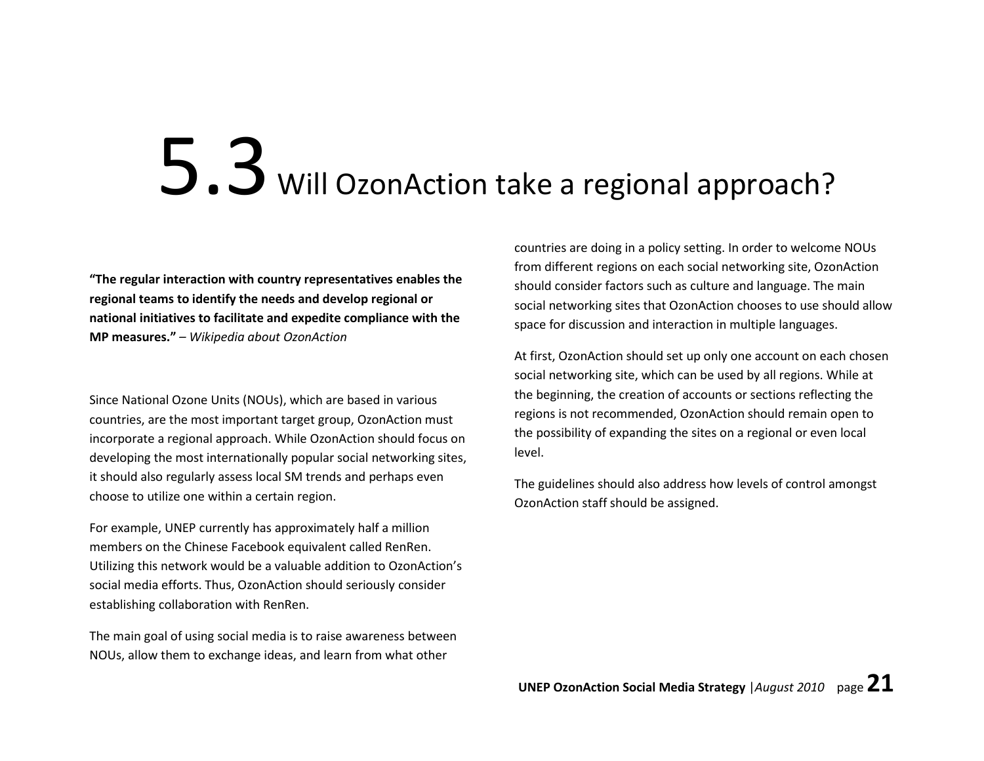### 5.3 Will OzonAction take a regional approach?

"The regular interaction with country representatives enables the regional teams to identify the needs and develop regional or national initiatives to facilitate and expedite compliance with the MP measures." – Wikipedia about OzonAction

Since National Ozone Units (NOUs), which are based in various countries, are the most important target group, OzonAction must incorporate a regional approach. While OzonAction should focus on developing the most internationally popular social networking sites, it should also regularly assess local SM trends and perhaps even choose to utilize one within a certain region.

For example, UNEP currently has approximately half a million members on the Chinese Facebook equivalent called RenRen. Utilizing this network would be a valuable addition to OzonAction's social media efforts. Thus, OzonAction should seriously consider establishing collaboration with RenRen.

The main goal of using social media is to raise awareness between NOUs, allow them to exchange ideas, and learn from what other

countries are doing in a policy setting. In order to welcome NOUs from different regions on each social networking site, OzonAction should consider factors such as culture and language. The main social networking sites that OzonAction chooses to use should allow space for discussion and interaction in multiple languages.

At first, OzonAction should set up only one account on each chosen social networking site, which can be used by all regions. While at the beginning, the creation of accounts or sections reflecting the regions is not recommended, OzonAction should remain open to the possibility of expanding the sites on a regional or even local level.

The guidelines should also address how levels of control amongst OzonAction staff should be assigned.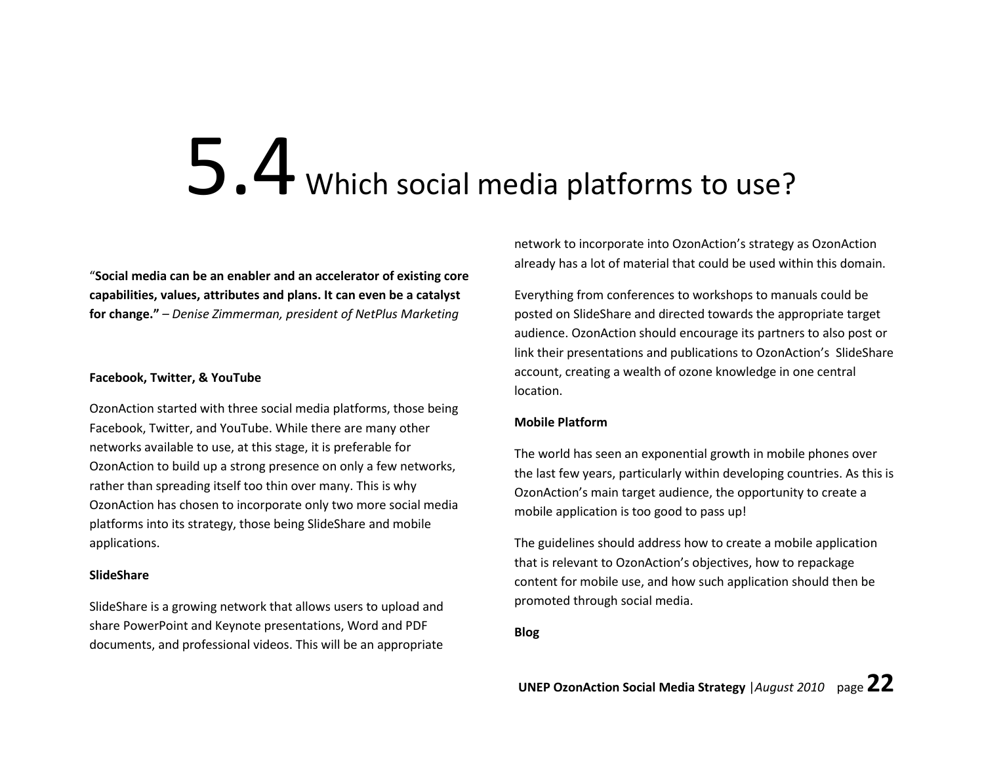# 5.4 Which social media platforms to use?

"Social media can be an enabler and an accelerator of existing core capabilities, values, attributes and plans. It can even be a catalyst for change." – Denise Zimmerman, president of NetPlus Marketing

### Facebook, Twitter, & YouTube

OzonAction started with three social media platforms, those being Facebook, Twitter, and YouTube. While there are many other networks available to use, at this stage, it is preferable for OzonAction to build up a strong presence on only a few networks, rather than spreading itself too thin over many. This is why OzonAction has chosen to incorporate only two more social media platforms into its strategy, those being SlideShare and mobile applications.

### SlideShare

SlideShare is a growing network that allows users to upload and share PowerPoint and Keynote presentations, Word and PDF documents, and professional videos. This will be an appropriate network to incorporate into OzonAction's strategy as OzonAction already has a lot of material that could be used within this domain.

Everything from conferences to workshops to manuals could be posted on SlideShare and directed towards the appropriate target audience. OzonAction should encourage its partners to also post or link their presentations and publications to OzonAction's SlideShare account, creating a wealth of ozone knowledge in one central location.

### Mobile Platform

The world has seen an exponential growth in mobile phones over the last few years, particularly within developing countries. As this is OzonAction's main target audience, the opportunity to create a mobile application is too good to pass up!

The guidelines should address how to create a mobile application that is relevant to OzonAction's objectives, how to repackage content for mobile use, and how such application should then be promoted through social media.

### Blog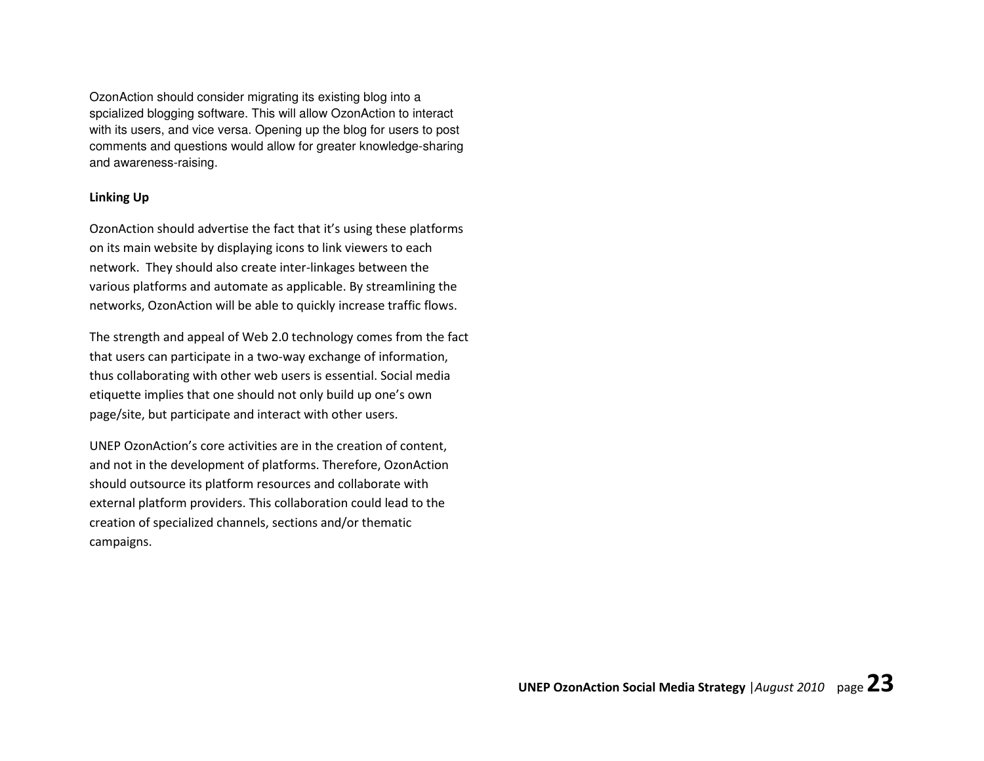OzonAction should consider migrating its existing blog into a spcialized blogging software. This will allow OzonAction to interact with its users, and vice versa. Opening up the blog for users to post comments and questions would allow for greater knowledge-sharing and awareness-raising.

### Linking Up

OzonAction should advertise the fact that it's using these platforms on its main website by displaying icons to link viewers to each network. They should also create inter-linkages between the various platforms and automate as applicable. By streamlining the networks, OzonAction will be able to quickly increase traffic flows.

The strength and appeal of Web 2.0 technology comes from the fact that users can participate in a two-way exchange of information, thus collaborating with other web users is essential. Social media etiquette implies that one should not only build up one's own page/site, but participate and interact with other users.

UNEP OzonAction's core activities are in the creation of content, and not in the development of platforms. Therefore, OzonAction should outsource its platform resources and collaborate with external platform providers. This collaboration could lead to the creation of specialized channels, sections and/or thematic campaigns.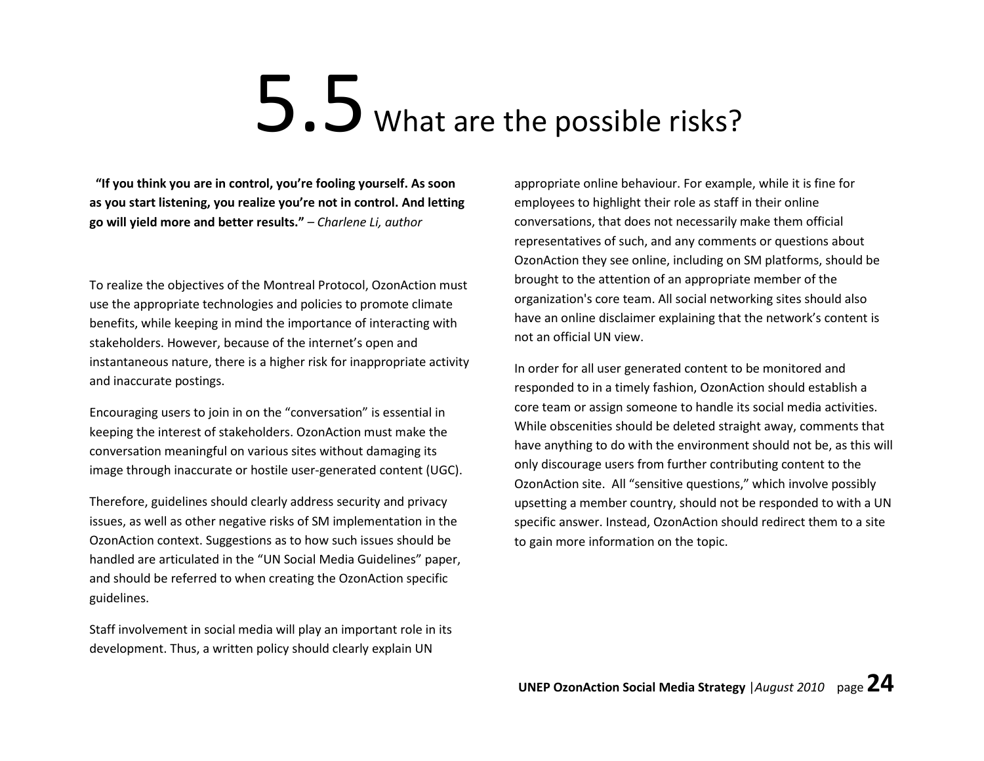# 5.5 What are the possible risks?

"If you think you are in control, you're fooling yourself. As soon as you start listening, you realize you're not in control. And letting go will yield more and better results." – Charlene Li, author

To realize the objectives of the Montreal Protocol, OzonAction must use the appropriate technologies and policies to promote climate benefits, while keeping in mind the importance of interacting with stakeholders. However, because of the internet's open and instantaneous nature, there is a higher risk for inappropriate activity and inaccurate postings.

Encouraging users to join in on the "conversation" is essential in keeping the interest of stakeholders. OzonAction must make the conversation meaningful on various sites without damaging its image through inaccurate or hostile user-generated content (UGC).

Therefore, guidelines should clearly address security and privacy issues, as well as other negative risks of SM implementation in the OzonAction context. Suggestions as to how such issues should be handled are articulated in the "UN Social Media Guidelines" paper, and should be referred to when creating the OzonAction specific guidelines.

Staff involvement in social media will play an important role in its development. Thus, a written policy should clearly explain UN

appropriate online behaviour. For example, while it is fine for employees to highlight their role as staff in their online conversations, that does not necessarily make them official representatives of such, and any comments or questions about OzonAction they see online, including on SM platforms, should be brought to the attention of an appropriate member of the organization's core team. All social networking sites should also have an online disclaimer explaining that the network's content is not an official UN view.

In order for all user generated content to be monitored and responded to in a timely fashion, OzonAction should establish a core team or assign someone to handle its social media activities. While obscenities should be deleted straight away, comments that have anything to do with the environment should not be, as this will only discourage users from further contributing content to the OzonAction site. All "sensitive questions," which involve possibly upsetting a member country, should not be responded to with a UN specific answer. Instead, OzonAction should redirect them to a site to gain more information on the topic.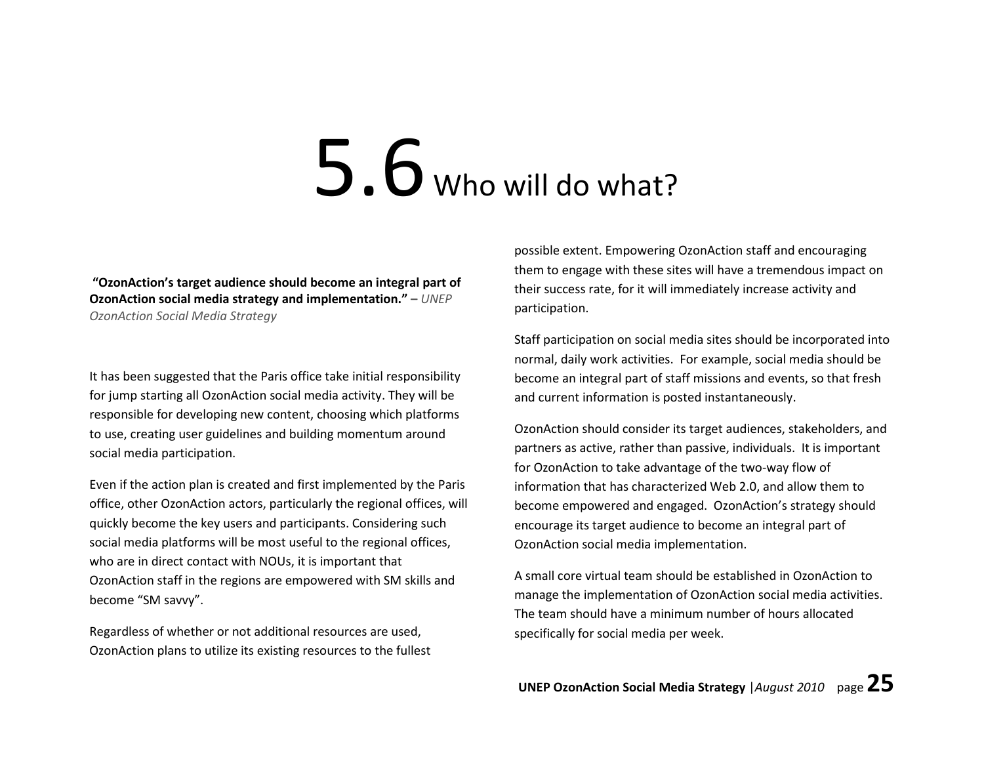### 5.6 Who will do what?

 "OzonAction's target audience should become an integral part of OzonAction social media strategy and implementation." – UNEP OzonAction Social Media Strategy

It has been suggested that the Paris office take initial responsibility for jump starting all OzonAction social media activity. They will be responsible for developing new content, choosing which platforms to use, creating user guidelines and building momentum around social media participation.

Even if the action plan is created and first implemented by the Paris office, other OzonAction actors, particularly the regional offices, will quickly become the key users and participants. Considering such social media platforms will be most useful to the regional offices, who are in direct contact with NOUs, it is important that OzonAction staff in the regions are empowered with SM skills and become "SM savvy".

Regardless of whether or not additional resources are used, OzonAction plans to utilize its existing resources to the fullest

possible extent. Empowering OzonAction staff and encouraging them to engage with these sites will have a tremendous impact on their success rate, for it will immediately increase activity and participation.

Staff participation on social media sites should be incorporated into normal, daily work activities. For example, social media should be become an integral part of staff missions and events, so that fresh and current information is posted instantaneously.

OzonAction should consider its target audiences, stakeholders, and partners as active, rather than passive, individuals. It is important for OzonAction to take advantage of the two-way flow of information that has characterized Web 2.0, and allow them to become empowered and engaged. OzonAction's strategy should encourage its target audience to become an integral part of OzonAction social media implementation.

A small core virtual team should be established in OzonAction to manage the implementation of OzonAction social media activities. The team should have a minimum number of hours allocated specifically for social media per week.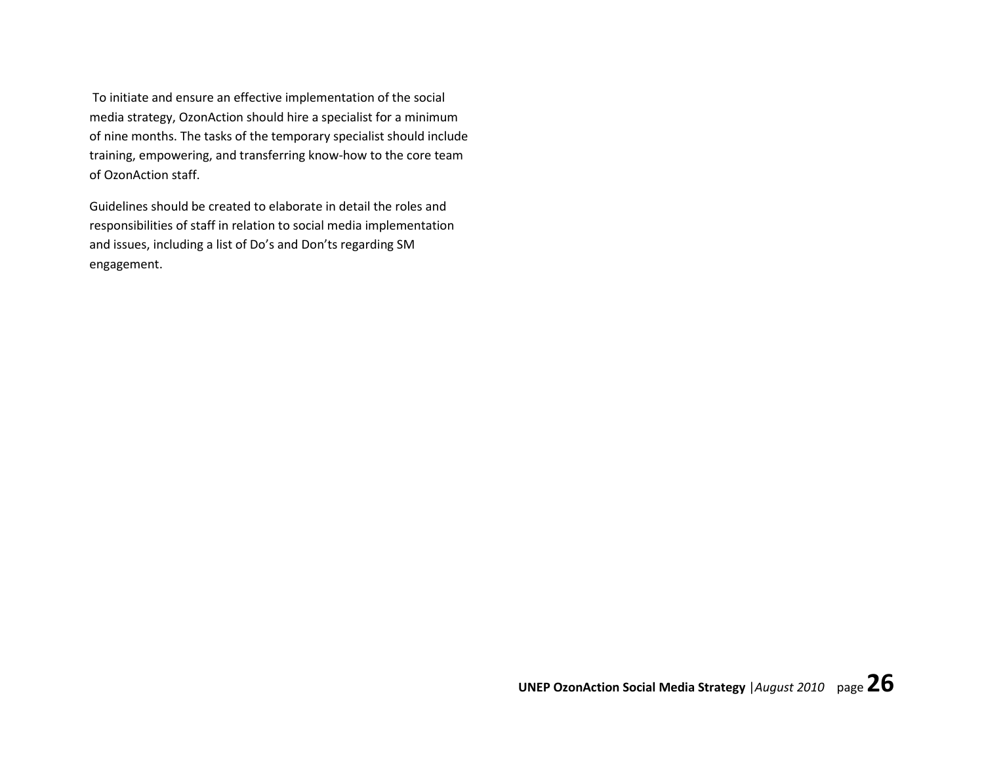To initiate and ensure an effective implementation of the social media strategy, OzonAction should hire a specialist for a minimum of nine months. The tasks of the temporary specialist should include training, empowering, and transferring know-how to the core team of OzonAction staff.

Guidelines should be created to elaborate in detail the roles and responsibilities of staff in relation to social media implementation and issues, including a list of Do's and Don'ts regarding SM engagement.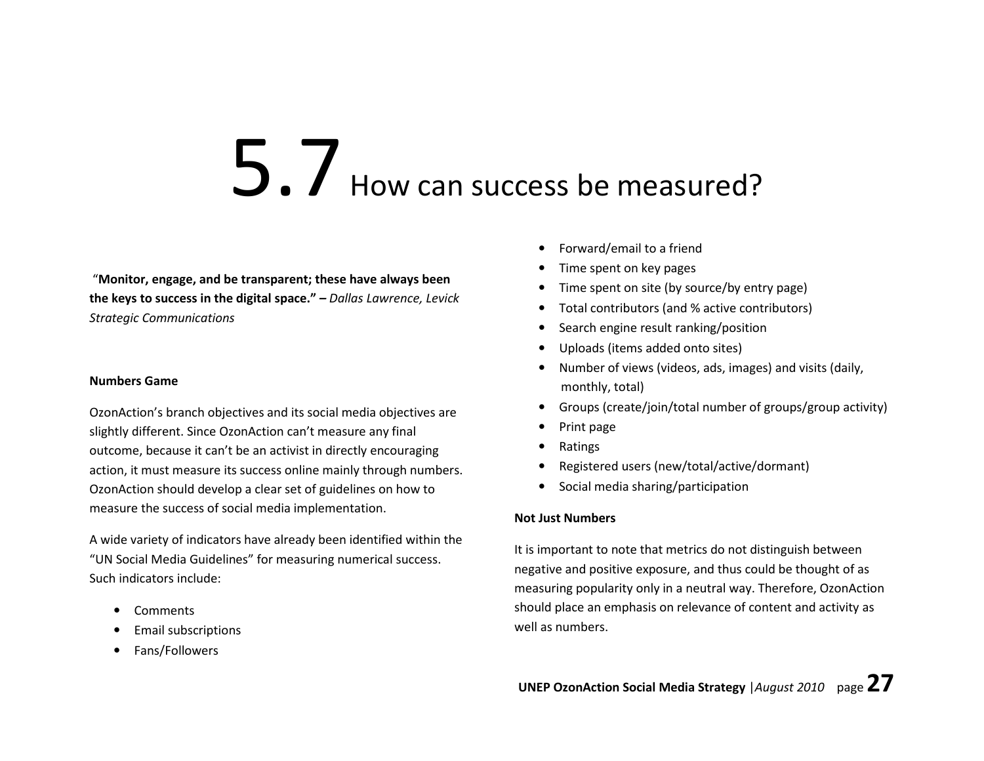### 5.7 How can success be measured?

 "Monitor, engage, and be transparent; these have always been the keys to success in the digital space." – Dallas Lawrence, Levick Strategic Communications

### Numbers Game

OzonAction's branch objectives and its social media objectives are slightly different. Since OzonAction can't measure any final outcome, because it can't be an activist in directly encouraging action, it must measure its success online mainly through numbers. OzonAction should develop a clear set of guidelines on how to measure the success of social media implementation.

A wide variety of indicators have already been identified within the "UN Social Media Guidelines" for measuring numerical success. Such indicators include:

- •**Comments**
- •Email subscriptions
- •Fans/Followers
- Forward/email to a friend
- Time spent on key pages
- Time spent on site (by source/by entry page)
- Total contributors (and % active contributors)
- Search engine result ranking/position
- Uploads (items added onto sites)
- Number of views (videos, ads, images) and visits (daily, monthly, total)
- Groups (create/join/total number of groups/group activity)
- Print page
- $\bullet$ Ratings
- •Registered users (new/total/active/dormant)
- •Social media sharing/participation

### Not Just Numbers

It is important to note that metrics do not distinguish between negative and positive exposure, and thus could be thought of as measuring popularity only in a neutral way. Therefore, OzonAction should place an emphasis on relevance of content and activity as well as numbers.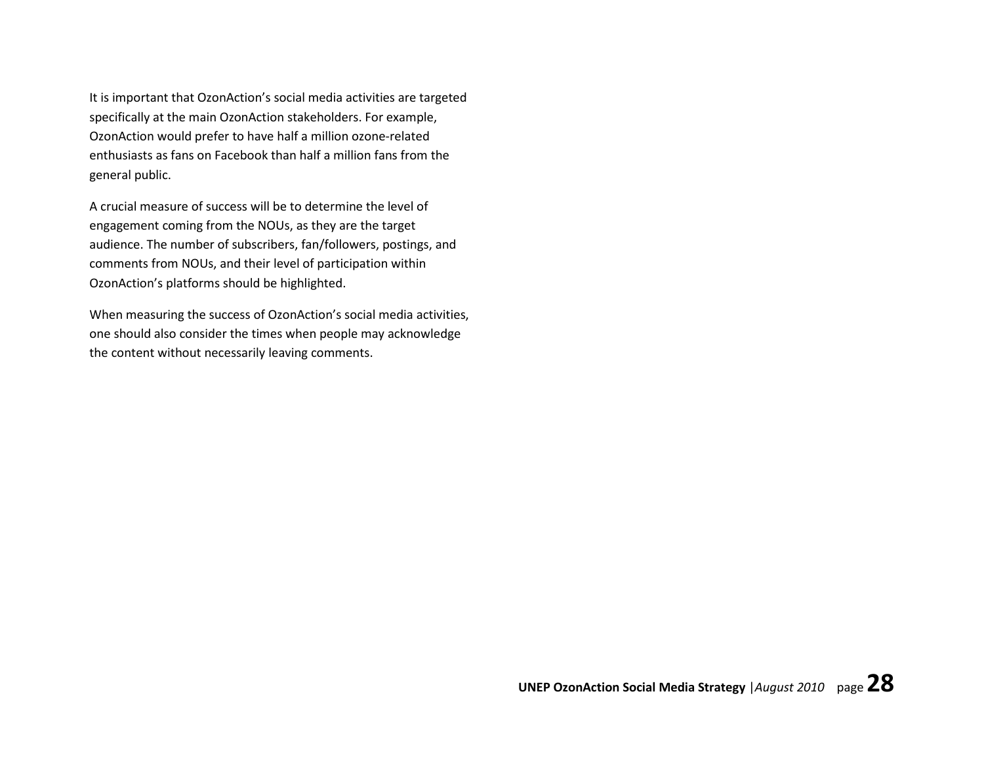It is important that OzonAction's social media activities are targeted specifically at the main OzonAction stakeholders. For example, OzonAction would prefer to have half a million ozone-related enthusiasts as fans on Facebook than half a million fans from the general public.

A crucial measure of success will be to determine the level of engagement coming from the NOUs, as they are the target audience. The number of subscribers, fan/followers, postings, and comments from NOUs, and their level of participation within OzonAction's platforms should be highlighted.

When measuring the success of OzonAction's social media activities, one should also consider the times when people may acknowledge the content without necessarily leaving comments.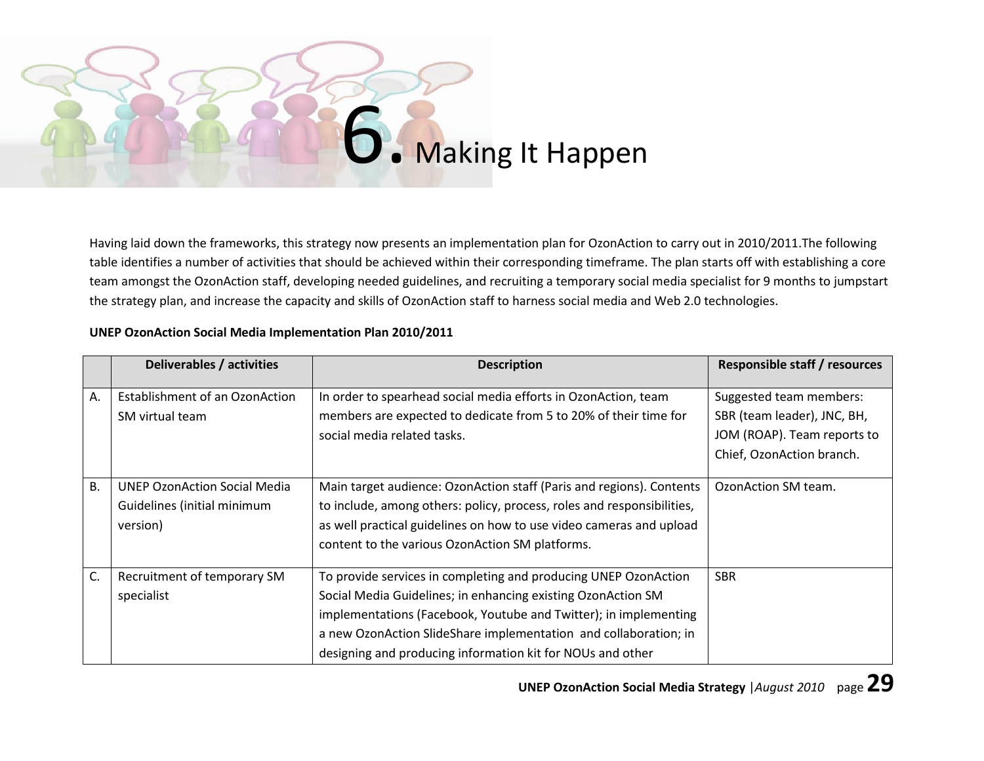

Having laid down the frameworks, this strategy now presents an implementation plan for OzonAction to carry out in 2010/2011.The following table identifies a number of activities that should be achieved within their corresponding timeframe. The plan starts off with establishing a core team amongst the OzonAction staff, developing needed guidelines, and recruiting a temporary social media specialist for 9 months to jumpstart the strategy plan, and increase the capacity and skills of OzonAction staff to harness social media and Web 2.0 technologies.

|           | Deliverables / activities                                                      | <b>Description</b>                                                                                                                                                                                                                                                                                                                    | <b>Responsible staff / resources</b>                                                                               |
|-----------|--------------------------------------------------------------------------------|---------------------------------------------------------------------------------------------------------------------------------------------------------------------------------------------------------------------------------------------------------------------------------------------------------------------------------------|--------------------------------------------------------------------------------------------------------------------|
| Α.        | Establishment of an OzonAction<br>SM virtual team                              | In order to spearhead social media efforts in OzonAction, team<br>members are expected to dedicate from 5 to 20% of their time for<br>social media related tasks.                                                                                                                                                                     | Suggested team members:<br>SBR (team leader), JNC, BH,<br>JOM (ROAP). Team reports to<br>Chief, OzonAction branch. |
| <b>B.</b> | <b>UNEP OzonAction Social Media</b><br>Guidelines (initial minimum<br>version) | Main target audience: OzonAction staff (Paris and regions). Contents<br>to include, among others: policy, process, roles and responsibilities,<br>as well practical guidelines on how to use video cameras and upload<br>content to the various OzonAction SM platforms.                                                              | OzonAction SM team.                                                                                                |
| C.        | Recruitment of temporary SM<br>specialist                                      | To provide services in completing and producing UNEP OzonAction<br>Social Media Guidelines; in enhancing existing OzonAction SM<br>implementations (Facebook, Youtube and Twitter); in implementing<br>a new OzonAction SlideShare implementation and collaboration; in<br>designing and producing information kit for NOUs and other | <b>SBR</b>                                                                                                         |

### UNEP OzonAction Social Media Implementation Plan 2010/2011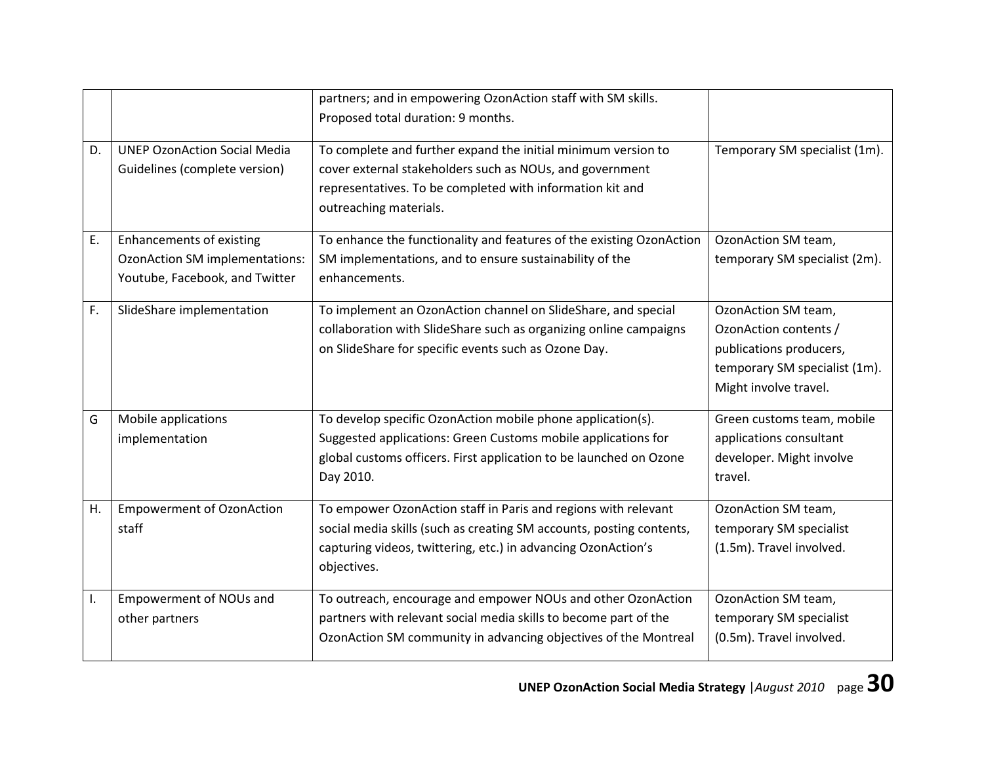|    |                                                                                                     | partners; and in empowering OzonAction staff with SM skills.<br>Proposed total duration: 9 months.                                                                                                                     |                                                                                                                                   |
|----|-----------------------------------------------------------------------------------------------------|------------------------------------------------------------------------------------------------------------------------------------------------------------------------------------------------------------------------|-----------------------------------------------------------------------------------------------------------------------------------|
| D. | <b>UNEP OzonAction Social Media</b><br>Guidelines (complete version)                                | To complete and further expand the initial minimum version to<br>cover external stakeholders such as NOUs, and government<br>representatives. To be completed with information kit and<br>outreaching materials.       | Temporary SM specialist (1m).                                                                                                     |
| E. | Enhancements of existing<br><b>OzonAction SM implementations:</b><br>Youtube, Facebook, and Twitter | To enhance the functionality and features of the existing OzonAction<br>SM implementations, and to ensure sustainability of the<br>enhancements.                                                                       | OzonAction SM team,<br>temporary SM specialist (2m).                                                                              |
| F. | SlideShare implementation                                                                           | To implement an OzonAction channel on SlideShare, and special<br>collaboration with SlideShare such as organizing online campaigns<br>on SlideShare for specific events such as Ozone Day.                             | OzonAction SM team,<br>OzonAction contents /<br>publications producers,<br>temporary SM specialist (1m).<br>Might involve travel. |
| G  | Mobile applications<br>implementation                                                               | To develop specific OzonAction mobile phone application(s).<br>Suggested applications: Green Customs mobile applications for<br>global customs officers. First application to be launched on Ozone<br>Day 2010.        | Green customs team, mobile<br>applications consultant<br>developer. Might involve<br>travel.                                      |
| Η. | <b>Empowerment of OzonAction</b><br>staff                                                           | To empower OzonAction staff in Paris and regions with relevant<br>social media skills (such as creating SM accounts, posting contents,<br>capturing videos, twittering, etc.) in advancing OzonAction's<br>objectives. | OzonAction SM team,<br>temporary SM specialist<br>(1.5m). Travel involved.                                                        |
| I. | <b>Empowerment of NOUs and</b><br>other partners                                                    | To outreach, encourage and empower NOUs and other OzonAction<br>partners with relevant social media skills to become part of the<br>OzonAction SM community in advancing objectives of the Montreal                    | OzonAction SM team,<br>temporary SM specialist<br>(0.5m). Travel involved.                                                        |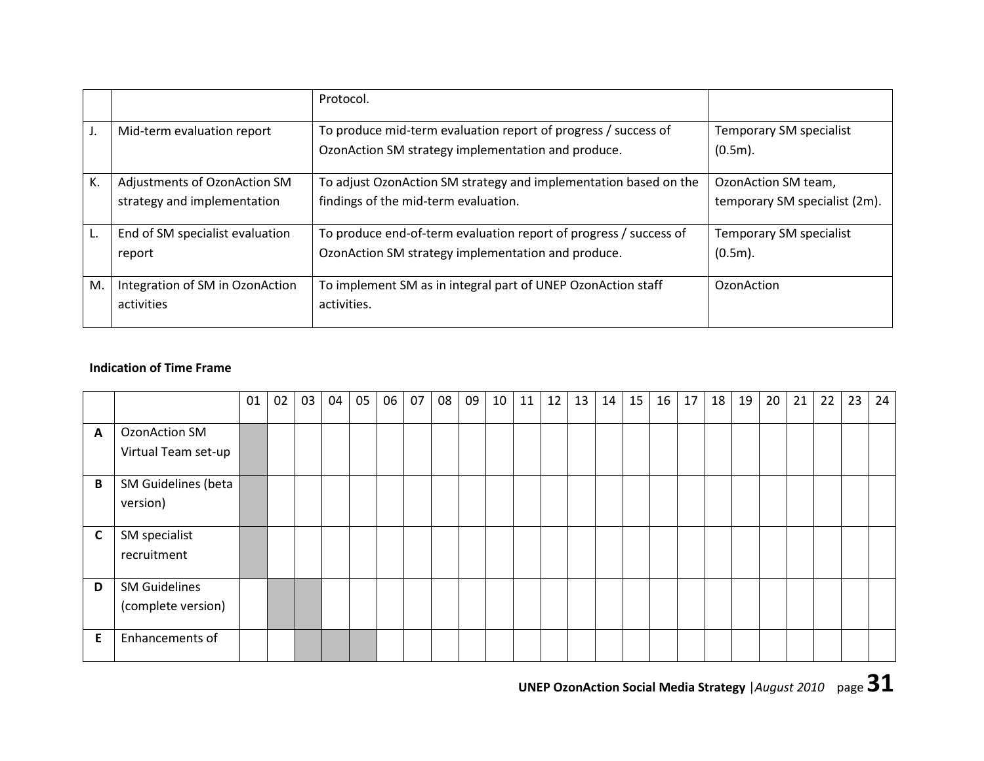|    |                                 | Protocol.                                                         |                               |
|----|---------------------------------|-------------------------------------------------------------------|-------------------------------|
|    | Mid-term evaluation report      | To produce mid-term evaluation report of progress / success of    | Temporary SM specialist       |
|    |                                 | OzonAction SM strategy implementation and produce.                | $(0.5m)$ .                    |
| K. | Adjustments of OzonAction SM    | To adjust OzonAction SM strategy and implementation based on the  | OzonAction SM team,           |
|    | strategy and implementation     | findings of the mid-term evaluation.                              | temporary SM specialist (2m). |
|    |                                 |                                                                   |                               |
|    | End of SM specialist evaluation | To produce end-of-term evaluation report of progress / success of | Temporary SM specialist       |
|    | report                          | OzonAction SM strategy implementation and produce.                | $(0.5m)$ .                    |
|    |                                 |                                                                   |                               |
| M. | Integration of SM in OzonAction | To implement SM as in integral part of UNEP OzonAction staff      | OzonAction                    |
|    | activities                      | activities.                                                       |                               |
|    |                                 |                                                                   |                               |

### Indication of Time Frame

|              |                                             | 01 | 02 | 03 | 04 | 05 | 06 | 07 | 08 | 09 | 10 | 11 | 12 | 13 | 14 | 15 | 16 | 17 | 18 | 19 | 20 | 21 | 22 | 23 | 24 |
|--------------|---------------------------------------------|----|----|----|----|----|----|----|----|----|----|----|----|----|----|----|----|----|----|----|----|----|----|----|----|
| $\mathbf{A}$ | <b>OzonAction SM</b><br>Virtual Team set-up |    |    |    |    |    |    |    |    |    |    |    |    |    |    |    |    |    |    |    |    |    |    |    |    |
|              |                                             |    |    |    |    |    |    |    |    |    |    |    |    |    |    |    |    |    |    |    |    |    |    |    |    |
| B            | SM Guidelines (beta<br>version)             |    |    |    |    |    |    |    |    |    |    |    |    |    |    |    |    |    |    |    |    |    |    |    |    |
| C            | SM specialist<br>recruitment                |    |    |    |    |    |    |    |    |    |    |    |    |    |    |    |    |    |    |    |    |    |    |    |    |
| D            | <b>SM Guidelines</b><br>(complete version)  |    |    |    |    |    |    |    |    |    |    |    |    |    |    |    |    |    |    |    |    |    |    |    |    |
| E            | Enhancements of                             |    |    |    |    |    |    |    |    |    |    |    |    |    |    |    |    |    |    |    |    |    |    |    |    |